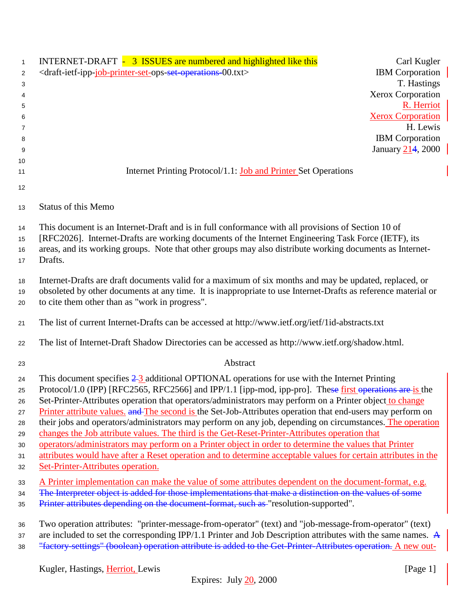| $\mathbf{1}$   | INTERNET-DRAFT - 3 ISSUES are numbered and highlighted like this                                                      | Carl Kugler                            |
|----------------|-----------------------------------------------------------------------------------------------------------------------|----------------------------------------|
| $\overline{2}$ | <draft-ietf-ipp-job-printer-set-ops-set-operations-00.txt></draft-ietf-ipp-job-printer-set-ops-set-operations-00.txt> | <b>IBM</b> Corporation                 |
| 3              |                                                                                                                       | T. Hastings                            |
| 4              |                                                                                                                       | Xerox Corporation                      |
| 5              |                                                                                                                       | R. Herriot<br><b>Xerox Corporation</b> |
| 6<br>7         |                                                                                                                       | H. Lewis                               |
| 8              |                                                                                                                       | <b>IBM</b> Corporation                 |
| 9              |                                                                                                                       | January 214, 2000                      |
| 10             |                                                                                                                       |                                        |
| 11             | Internet Printing Protocol/1.1: <b>Job and Printer</b> Set Operations                                                 |                                        |
| 12             |                                                                                                                       |                                        |
| 13             | <b>Status of this Memo</b>                                                                                            |                                        |
| 14             | This document is an Internet-Draft and is in full conformance with all provisions of Section 10 of                    |                                        |
| 15             | [RFC2026]. Internet-Drafts are working documents of the Internet Engineering Task Force (IETF), its                   |                                        |
| 16             | areas, and its working groups. Note that other groups may also distribute working documents as Internet-              |                                        |
| 17             | Drafts.                                                                                                               |                                        |
| 18             | Internet-Drafts are draft documents valid for a maximum of six months and may be updated, replaced, or                |                                        |
| 19             | obsoleted by other documents at any time. It is inappropriate to use Internet-Drafts as reference material or         |                                        |
| 20             | to cite them other than as "work in progress".                                                                        |                                        |
| 21             | The list of current Internet-Drafts can be accessed at http://www.ietf.org/ietf/1id-abstracts.txt                     |                                        |
| 22             | The list of Internet-Draft Shadow Directories can be accessed as http://www.ietf.org/shadow.html.                     |                                        |
| 23             | Abstract                                                                                                              |                                        |
| 24             | This document specifies $2\frac{3}{2}$ additional OPTIONAL operations for use with the Internet Printing              |                                        |
| 25             | Protocol/1.0 (IPP) [RFC2565, RFC2566] and IPP/1.1 [ipp-mod, ipp-pro]. These first operations are is the               |                                        |
| 26             | Set-Printer-Attributes operation that operators/administrators may perform on a Printer object to change              |                                        |
| 27             | Printer attribute values. and The second is the Set-Job-Attributes operation that end-users may perform on            |                                        |
| 28             | their jobs and operators/administrators may perform on any job, depending on circumstances. The operation             |                                        |
| 29             | changes the Job attribute values. The third is the Get-Reset-Printer-Attributes operation that                        |                                        |
| 30             | operators/administrators may perform on a Printer object in order to determine the values that Printer                |                                        |
| 31             | attributes would have after a Reset operation and to determine acceptable values for certain attributes in the        |                                        |
| 32             | Set-Printer-Attributes operation.                                                                                     |                                        |
| 33             | A Printer implementation can make the value of some attributes dependent on the document-format, e.g.                 |                                        |
| 34             | The Interpreter object is added for those implementations that make a distinction on the values of some               |                                        |
| 35             | Printer attributes depending on the document-format, such as "resolution-supported".                                  |                                        |
| 36             | Two operation attributes: "printer-message-from-operator" (text) and "job-message-from-operator" (text)               |                                        |
| 37             | are included to set the corresponding IPP/1.1 Printer and Job Description attributes with the same names. $A$         |                                        |
| 38             | "factory settings" (boolean) operation attribute is added to the Get-Printer-Attributes operation. A new out-         |                                        |
|                | Kugler, Hastings, Herriot, Lewis                                                                                      | [Page 1]                               |
|                |                                                                                                                       |                                        |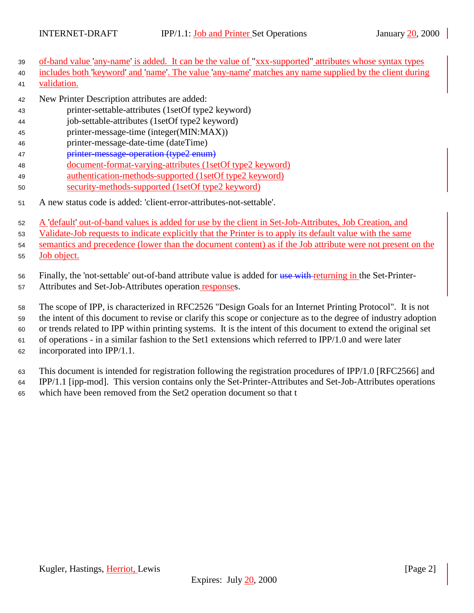- of-band value 'any-name' is added. It can be the value of "xxx-supported" attributes whose syntax types
- includes both 'keyword' and 'name'. The value 'any-name' matches any name supplied by the client during validation.
- New Printer Description attributes are added:
- printer-settable-attributes (1setOf type2 keyword)
- job-settable-attributes (1setOf type2 keyword)
- printer-message-time (integer(MIN:MAX))
- printer-message-date-time (dateTime)
- printer-message-operation (type2 enum)
- document-format-varying-attributes (1setOf type2 keyword)
- authentication-methods-supported (1setOf type2 keyword)
- security-methods-supported (1setOf type2 keyword)
- A new status code is added: 'client-error-attributes-not-settable'.
- A 'default' out-of-band values is added for use by the client in Set-Job-Attributes, Job Creation, and
- Validate-Job requests to indicate explicitly that the Printer is to apply its default value with the same

semantics and precedence (lower than the document content) as if the Job attribute were not present on the

Job object.

56 Finally, the 'not-settable' out-of-band attribute value is added for use with returning in the Set-Printer-

Attributes and Set-Job-Attributes operation responses.

 The scope of IPP, is characterized in RFC2526 "Design Goals for an Internet Printing Protocol". It is not the intent of this document to revise or clarify this scope or conjecture as to the degree of industry adoption

or trends related to IPP within printing systems. It is the intent of this document to extend the original set

of operations - in a similar fashion to the Set1 extensions which referred to IPP/1.0 and were later

incorporated into IPP/1.1.

 This document is intended for registration following the registration procedures of IPP/1.0 [RFC2566] and IPP/1.1 [ipp-mod]. This version contains only the Set-Printer-Attributes and Set-Job-Attributes operations

which have been removed from the Set2 operation document so that t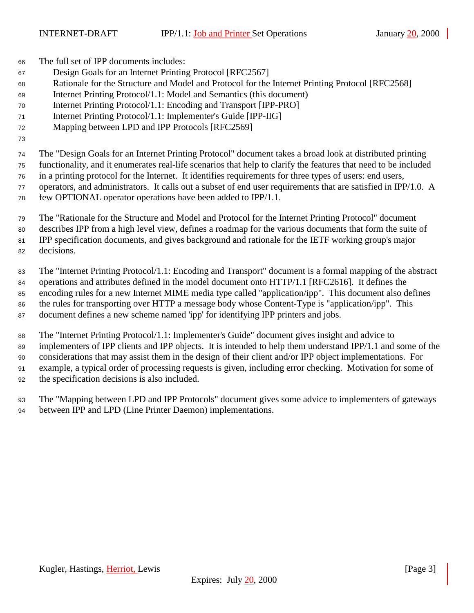The full set of IPP documents includes:

- Design Goals for an Internet Printing Protocol [RFC2567]
- Rationale for the Structure and Model and Protocol for the Internet Printing Protocol [RFC2568]
- Internet Printing Protocol/1.1: Model and Semantics (this document)
- Internet Printing Protocol/1.1: Encoding and Transport [IPP-PRO]
- Internet Printing Protocol/1.1: Implementer's Guide [IPP-IIG]
- Mapping between LPD and IPP Protocols [RFC2569]
- 

 The "Design Goals for an Internet Printing Protocol" document takes a broad look at distributed printing functionality, and it enumerates real-life scenarios that help to clarify the features that need to be included in a printing protocol for the Internet. It identifies requirements for three types of users: end users, operators, and administrators. It calls out a subset of end user requirements that are satisfied in IPP/1.0. A

few OPTIONAL operator operations have been added to IPP/1.1.

 The "Rationale for the Structure and Model and Protocol for the Internet Printing Protocol" document describes IPP from a high level view, defines a roadmap for the various documents that form the suite of IPP specification documents, and gives background and rationale for the IETF working group's major decisions.

 The "Internet Printing Protocol/1.1: Encoding and Transport" document is a formal mapping of the abstract operations and attributes defined in the model document onto HTTP/1.1 [RFC2616]. It defines the encoding rules for a new Internet MIME media type called "application/ipp". This document also defines the rules for transporting over HTTP a message body whose Content-Type is "application/ipp". This document defines a new scheme named 'ipp' for identifying IPP printers and jobs.

 The "Internet Printing Protocol/1.1: Implementer's Guide" document gives insight and advice to implementers of IPP clients and IPP objects. It is intended to help them understand IPP/1.1 and some of the considerations that may assist them in the design of their client and/or IPP object implementations. For example, a typical order of processing requests is given, including error checking. Motivation for some of the specification decisions is also included.

 The "Mapping between LPD and IPP Protocols" document gives some advice to implementers of gateways between IPP and LPD (Line Printer Daemon) implementations.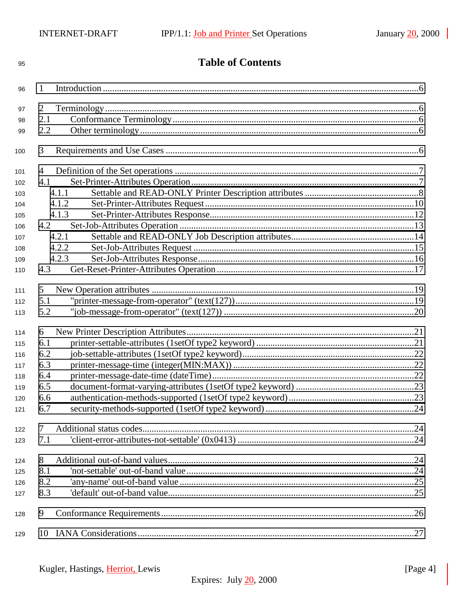| 95  | <b>Table of Contents</b> |       |  |
|-----|--------------------------|-------|--|
| 96  | 1                        |       |  |
|     | 2                        |       |  |
| 97  | 2.1                      |       |  |
| 98  | 2.2                      |       |  |
| 99  |                          |       |  |
| 100 | 3                        |       |  |
| 101 | 4                        |       |  |
| 102 | 4.1                      |       |  |
| 103 |                          | 4.1.1 |  |
| 104 |                          | 4.1.2 |  |
| 105 |                          | 4.1.3 |  |
| 106 | 4.2                      |       |  |
| 107 |                          | 4.2.1 |  |
| 108 |                          | 4.2.2 |  |
| 109 |                          | 4.2.3 |  |
| 110 | 4.3                      |       |  |
| 111 | 5                        |       |  |
| 112 | 5.1                      |       |  |
| 113 | 5.2                      |       |  |
| 114 | 6                        |       |  |
| 115 | 6.1                      |       |  |
| 116 | 6.2                      |       |  |
| 117 | 6.3                      |       |  |
| 118 | 6.4                      |       |  |
| 119 | 6.5                      |       |  |
| 120 | 6.6                      |       |  |
| 121 | 6.7                      |       |  |
| 122 | 7                        |       |  |
| 123 | 7.1                      |       |  |
| 124 | 8                        |       |  |
| 125 | 8.1                      |       |  |
| 126 | 8.2                      |       |  |
| 127 | 8.3                      |       |  |
| 128 | 9                        |       |  |
| 129 | 10                       |       |  |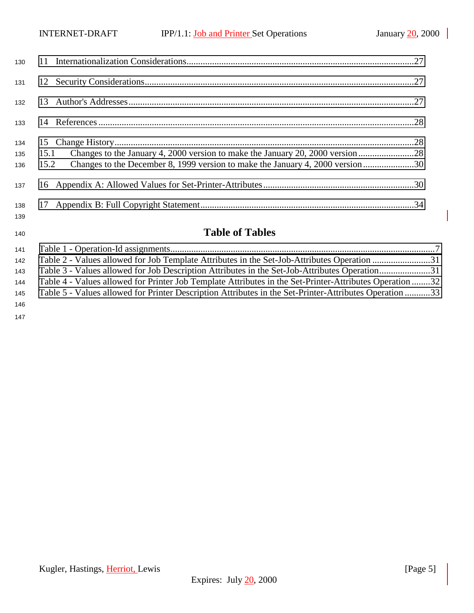| 130               |              |                                                                                                                                                                 |
|-------------------|--------------|-----------------------------------------------------------------------------------------------------------------------------------------------------------------|
| 131               |              |                                                                                                                                                                 |
| 132               |              |                                                                                                                                                                 |
| 133               |              |                                                                                                                                                                 |
| 134<br>135<br>136 | 15.1<br>15.2 | Changes to the January 4, 2000 version to make the January 20, 2000 version 28<br>Changes to the December 8, 1999 version to make the January 4, 2000 version30 |
| 137               |              |                                                                                                                                                                 |
| 138<br>139        |              |                                                                                                                                                                 |
| 140               |              | <b>Table of Tables</b>                                                                                                                                          |

| 142 | Table 2 - Values allowed for Job Template Attributes in the Set-Job-Attributes Operation 31             |  |
|-----|---------------------------------------------------------------------------------------------------------|--|
| 143 | Table 3 - Values allowed for Job Description Attributes in the Set-Job-Attributes Operation31           |  |
| 144 | Table 4 - Values allowed for Printer Job Template Attributes in the Set-Printer-Attributes Operation 32 |  |
| 145 | 33 Table 5 - Values allowed for Printer Description Attributes in the Set-Printer-Attributes Operation  |  |
| 146 |                                                                                                         |  |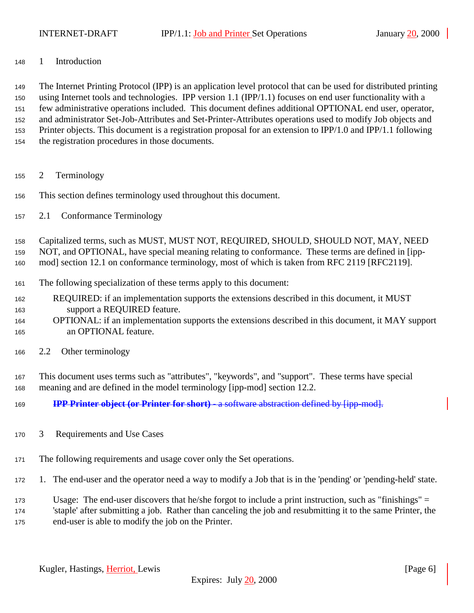<span id="page-5-0"></span>1 Introduction

 The Internet Printing Protocol (IPP) is an application level protocol that can be used for distributed printing using Internet tools and technologies. IPP version 1.1 (IPP/1.1) focuses on end user functionality with a few administrative operations included. This document defines additional OPTIONAL end user, operator, and administrator Set-Job-Attributes and Set-Printer-Attributes operations used to modify Job objects and Printer objects. This document is a registration proposal for an extension to IPP/1.0 and IPP/1.1 following the registration procedures in those documents.

- 2 Terminology
- This section defines terminology used throughout this document.
- 2.1 Conformance Terminology

Capitalized terms, such as MUST, MUST NOT, REQUIRED, SHOULD, SHOULD NOT, MAY, NEED

NOT, and OPTIONAL, have special meaning relating to conformance. These terms are defined in [ipp-

mod] section 12.1 on conformance terminology, most of which is taken from RFC 2119 [RFC2119].

- The following specialization of these terms apply to this document:
- REQUIRED: if an implementation supports the extensions described in this document, it MUST support a REQUIRED feature.
- OPTIONAL: if an implementation supports the extensions described in this document, it MAY support an OPTIONAL feature.
- 2.2 Other terminology

 This document uses terms such as "attributes", "keywords", and "support". These terms have special meaning and are defined in the model terminology [ipp-mod] section 12.2.

- **IPP Printer object (or Printer for short)** a software abstraction defined by [ipp-mod].
- 3 Requirements and Use Cases
- The following requirements and usage cover only the Set operations.
- 1. The end-user and the operator need a way to modify a Job that is in the 'pending' or 'pending-held' state.
- Usage: The end-user discovers that he/she forgot to include a print instruction, such as "finishings" =

 'staple' after submitting a job. Rather than canceling the job and resubmitting it to the same Printer, the end-user is able to modify the job on the Printer.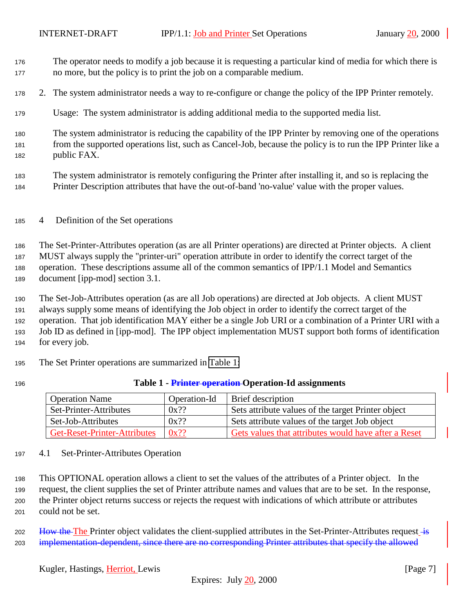- <span id="page-6-0"></span> The operator needs to modify a job because it is requesting a particular kind of media for which there is no more, but the policy is to print the job on a comparable medium.
- 2. The system administrator needs a way to re-configure or change the policy of the IPP Printer remotely.
- Usage: The system administrator is adding additional media to the supported media list.

 The system administrator is reducing the capability of the IPP Printer by removing one of the operations from the supported operations list, such as Cancel-Job, because the policy is to run the IPP Printer like a public FAX.

- The system administrator is remotely configuring the Printer after installing it, and so is replacing the Printer Description attributes that have the out-of-band 'no-value' value with the proper values.
- 4 Definition of the Set operations

 The Set-Printer-Attributes operation (as are all Printer operations) are directed at Printer objects. A client MUST always supply the "printer-uri" operation attribute in order to identify the correct target of the operation. These descriptions assume all of the common semantics of IPP/1.1 Model and Semantics document [ipp-mod] section 3.1.

 The Set-Job-Attributes operation (as are all Job operations) are directed at Job objects. A client MUST always supply some means of identifying the Job object in order to identify the correct target of the operation. That job identification MAY either be a single Job URI or a combination of a Printer URI with a Job ID as defined in [ipp-mod]. The IPP object implementation MUST support both forms of identification for every job.

The Set Printer operations are summarized in Table 1:

#### **Table 1 - Printer operation Operation-Id assignments**

| <b>Operation Name</b>        | Operation-Id | Brief description                                    |
|------------------------------|--------------|------------------------------------------------------|
| Set-Printer-Attributes       | $0x$ ??      | Sets attribute values of the target Printer object   |
| Set-Job-Attributes           | $0x$ ??      | Sets attribute values of the target Job object       |
| Get-Reset-Printer-Attributes | $0x$ ??      | Gets values that attributes would have after a Reset |

#### 4.1 Set-Printer-Attributes Operation

 This OPTIONAL operation allows a client to set the values of the attributes of a Printer object. In the request, the client supplies the set of Printer attribute names and values that are to be set. In the response, the Printer object returns success or rejects the request with indications of which attribute or attributes could not be set.

202 How the The Printer object validates the client-supplied attributes in the Set-Printer-Attributes request  $\frac{1}{18}$ 203 implementation-dependent, since there are no corresponding Printer attributes that specify the allowed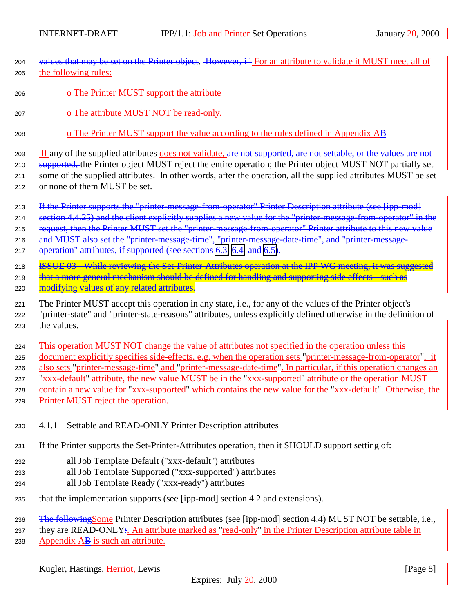- <span id="page-7-0"></span>204 values that may be set on the Printer object. However, if For an attribute to validate it MUST meet all of <sup>205</sup> the following rules:
- 206 o The Printer MUST support the attribute
- <sup>207</sup> o The attribute MUST NOT be read-only.
- <sup>208</sup> o The Printer MUST support the value according to the rules defined in Appendix AB

209 If any of the supplied attributes does not validate, are not supported, are not settable, or the values are not 210 supported, the Printer object MUST reject the entire operation; the Printer object MUST NOT partially set <sup>211</sup> some of the supplied attributes. In other words, after the operation, all the supplied attributes MUST be set <sup>212</sup> or none of them MUST be set.

213 If the Printer supports the "printer-message-from-operator" Printer Description attribute (see [ipp-mod] 214 section 4.4.25) and the client explicitly supplies a new value for the "printer-message-from-operator" in the 215 request, then the Printer MUST set the "printer-message-from-operator" Printer attribute to this new value 216 and MUST also set the "printer-message-time", "printer-message-date-time", and "printer-message-217 operation" attributes, if supported (see sections [6.3, 6.4,](#page-21-0) and [6.5\)](#page-22-0).

218 **ISSUE 03 - While reviewing the Set-Printer-Attributes operation at the IPP WG meeting, it was suggested** 219 that a more general mechanism should be defined for handling and supporting side effects - such as

220 modifying values of any related attributes.

<sup>221</sup> The Printer MUST accept this operation in any state, i.e., for any of the values of the Printer object's <sup>222</sup> "printer-state" and "printer-state-reasons" attributes, unless explicitly defined otherwise in the definition of <sup>223</sup> the values.

 This operation MUST NOT change the value of attributes not specified in the operation unless this document explicitly specifies side-effects, e.g. when the operation sets "printer-message-from-operator", it also sets "printer-message-time" and "printer-message-date-time". In particular, if this operation changes an "xxx-default" attribute, the new value MUST be in the "xxx-supported" attribute or the operation MUST contain a new value for "xxx-supported" which contains the new value for the "xxx-default". Otherwise, the Printer MUST reject the operation.

- <sup>230</sup> 4.1.1 Settable and READ-ONLY Printer Description attributes
- <sup>231</sup> If the Printer supports the Set-Printer-Attributes operation, then it SHOULD support setting of:
- <sup>232</sup> all Job Template Default ("xxx-default") attributes
- <sup>233</sup> all Job Template Supported ("xxx-supported") attributes
- <sup>234</sup> all Job Template Ready ("xxx-ready") attributes
- <sup>235</sup> that the implementation supports (see [ipp-mod] section 4.2 and extensions).

236 The following Some Printer Description attributes (see [ipp-mod] section 4.4) MUST NOT be settable, i.e.,

<sup>237</sup> they are READ-ONLY:. An attribute marked as "read-only" in the Printer Description attribute table in 238 Appendix  $\overrightarrow{AB}$  is such an attribute.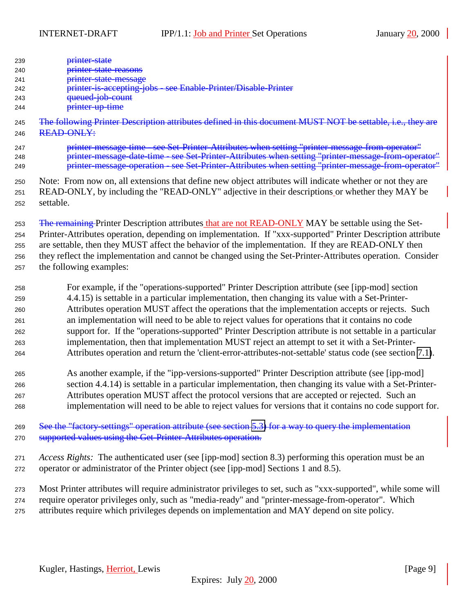| 239<br>240<br>241<br>242<br>243<br>244 | <del>printer-state</del><br><del>printer-state-reasons</del><br>printer-state-message<br>see Enable-Printer/Disable-Printer<br>printer-is-accepting-jobs-<br>queued-job-count<br>printer-up-time |
|----------------------------------------|--------------------------------------------------------------------------------------------------------------------------------------------------------------------------------------------------|
| 245                                    | The following Printer Description attributes defined in this document MUST NOT be settable, i.e., they are                                                                                       |
| 246                                    | <b>READ-ONLY:</b>                                                                                                                                                                                |
| 247                                    | printer message time - see Set-Printer-Attributes when setting "printer-message-from-operator"                                                                                                   |
| 248                                    | printer message date time - see Set Printer Attributes when setting "printer message from operator"                                                                                              |
| 249                                    | printer message operation - see Set-Printer-Attributes when setting "printer-message-from-operator"                                                                                              |
| 250                                    | Note: From now on, all extensions that define new object attributes will indicate whether or not they are                                                                                        |
| 251                                    | READ-ONLY, by including the "READ-ONLY" adjective in their descriptions or whether they MAY be                                                                                                   |
| 252                                    | settable.                                                                                                                                                                                        |
| 253                                    | The remaining Printer Description attributes that are not READ-ONLY MAY be settable using the Set-                                                                                               |
| 254                                    | Printer-Attributes operation, depending on implementation. If "xxx-supported" Printer Description attribute                                                                                      |
| 255                                    | are settable, then they MUST affect the behavior of the implementation. If they are READ-ONLY then                                                                                               |
| 256                                    | they reflect the implementation and cannot be changed using the Set-Printer-Attributes operation. Consider                                                                                       |
| 257                                    | the following examples:                                                                                                                                                                          |

 For example, if the "operations-supported" Printer Description attribute (see [ipp-mod] section 4.4.15) is settable in a particular implementation, then changing its value with a Set-Printer- Attributes operation MUST affect the operations that the implementation accepts or rejects. Such an implementation will need to be able to reject values for operations that it contains no code support for. If the "operations-supported" Printer Description attribute is not settable in a particular implementation, then that implementation MUST reject an attempt to set it with a Set-Printer-Attributes operation and return the 'client-error-attributes-not-settable' status code (see section [7.1\)](#page-23-0).

 As another example, if the "ipp-versions-supported" Printer Description attribute (see [ipp-mod] section 4.4.14) is settable in a particular implementation, then changing its value with a Set-Printer- Attributes operation MUST affect the protocol versions that are accepted or rejected. Such an implementation will need to be able to reject values for versions that it contains no code support for.

 See the "factory-settings" operation attribute (see section [5.3\)](#page-20-0) for a way to query the implementation supported values using the Get-Printer-Attributes operation.

 *Access Rights:*The authenticated user (see [ipp-mod] section 8.3) performing this operation must be an operator or administrator of the Printer object (see [ipp-mod] Sections 1 and 8.5).

 Most Printer attributes will require administrator privileges to set, such as "xxx-supported", while some will require operator privileges only, such as "media-ready" and "printer-message-from-operator". Which attributes require which privileges depends on implementation and MAY depend on site policy.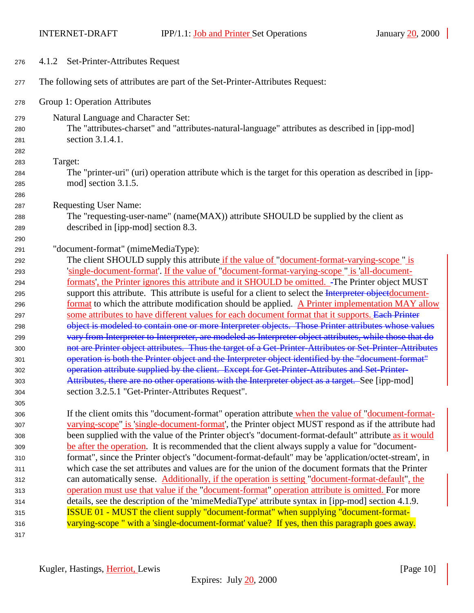<span id="page-9-0"></span>

| 276 | 4.1.2 Set-Printer-Attributes Request                                                                     |
|-----|----------------------------------------------------------------------------------------------------------|
| 277 | The following sets of attributes are part of the Set-Printer-Attributes Request:                         |
| 278 | Group 1: Operation Attributes                                                                            |
| 279 | Natural Language and Character Set:                                                                      |
| 280 | The "attributes-charset" and "attributes-natural-language" attributes as described in [ipp-mod]          |
| 281 | section 3.1.4.1.                                                                                         |
| 282 |                                                                                                          |
| 283 | Target:                                                                                                  |
| 284 | The "printer-uri" (uri) operation attribute which is the target for this operation as described in [ipp- |
| 285 | mod] section 3.1.5.                                                                                      |
| 286 |                                                                                                          |
| 287 | <b>Requesting User Name:</b>                                                                             |
| 288 | The "requesting-user-name" (name(MAX)) attribute SHOULD be supplied by the client as                     |
| 289 | described in [ipp-mod] section 8.3.                                                                      |
| 290 |                                                                                                          |
| 291 | "document-format" (mimeMediaType):                                                                       |
| 292 | The client SHOULD supply this attribute if the value of "document-format-varying-scope" is               |
| 293 | 'single-document-format'. If the value of "document-format-varying-scope" is 'all-document-              |
| 294 | formats', the Printer ignores this attribute and it SHOULD be omitted. -The Printer object MUST          |
| 295 | support this attribute. This attribute is useful for a client to select the Interpreter objectdocument-  |
| 296 | format to which the attribute modification should be applied. A Printer implementation MAY allow         |
| 297 | some attributes to have different values for each document format that it supports. Each Printer         |
| 298 | object is modeled to contain one or more Interpreter objects. Those Printer attributes whose values      |
| 299 | vary from Interpreter to Interpreter, are modeled as Interpreter object attributes, while those that do  |
| 300 | not are Printer object attributes. Thus the target of a Get-Printer-Attributes or Set-Printer-Attributes |
| 301 | operation is both the Printer object and the Interpreter object identified by the "document format"      |
| 302 | operation attribute supplied by the client. Except for Get-Printer-Attributes and Set-Printer-           |
| 303 | Attributes, there are no other operations with the Interpreter object as a target. See [ipp-mod]         |
| 304 | section 3.2.5.1 "Get-Printer-Attributes Request".                                                        |
| 305 |                                                                                                          |
| 306 | If the client omits this "document-format" operation attribute when the value of "document-format-       |
| 307 | varying-scope" is 'single-document-format', the Printer object MUST respond as if the attribute had      |
| 308 | been supplied with the value of the Printer object's "document-format-default" attribute as it would     |
| 309 | be after the operation. It is recommended that the client always supply a value for "document-           |
| 310 | format", since the Printer object's "document-format-default" may be 'application/octet-stream', in      |
| 311 | which case the set attributes and values are for the union of the document formats that the Printer      |
| 312 | can automatically sense. Additionally, if the operation is setting "document-format-default", the        |
| 313 | operation must use that value if the "document-format" operation attribute is omitted. For more          |
| 314 | details, see the description of the 'mimeMediaType' attribute syntax in [ipp-mod] section 4.1.9.         |
| 315 | <b>ISSUE 01 - MUST the client supply "document-format" when supplying "document-format-</b>              |
| 316 | varying-scope " with a 'single-document-format' value? If yes, then this paragraph goes away.            |
| 317 |                                                                                                          |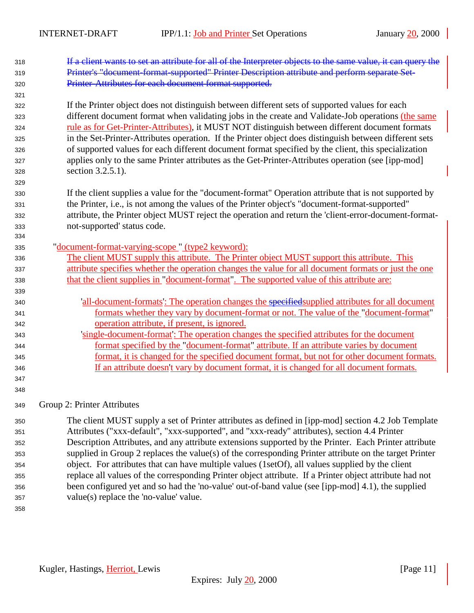- **If a client wants to set an attribute for all of the Interpreter objects to the same value, it can query the**  Printer's "document-format-supported" Printer Description attribute and perform separate Set- Printer-Attributes for each document format supported. If the Printer object does not distinguish between different sets of supported values for each different document format when validating jobs in the create and Validate-Job operations (the same rule as for Get-Printer-Attributes), it MUST NOT distinguish between different document formats in the Set-Printer-Attributes operation. If the Printer object does distinguish between different sets of supported values for each different document format specified by the client, this specialization applies only to the same Printer attributes as the Get-Printer-Attributes operation (see [ipp-mod] section 3.2.5.1). If the client supplies a value for the "document-format" Operation attribute that is not supported by the Printer, i.e., is not among the values of the Printer object's "document-format-supported" attribute, the Printer object MUST reject the operation and return the 'client-error-document-format- not-supported' status code. "document-format-varying-scope " (type2 keyword): The client MUST supply this attribute. The Printer object MUST support this attribute. This attribute specifies whether the operation changes the value for all document formats or just the one that the client supplies in "document-format". The supported value of this attribute are: 'all-document-formats': The operation changes the specifiedsupplied attributes for all document **formats whether they vary by document-format or not. The value of the "document-format"**  operation attribute, if present, is ignored. 'single-document-format': The operation changes the specified attributes for the document format specified by the "document-format" attribute. If an attribute varies by document format, it is changed for the specified document format, but not for other document formats. If an attribute doesn't vary by document format, it is changed for all document formats. Group 2: Printer Attributes The client MUST supply a set of Printer attributes as defined in [ipp-mod] section 4.2 Job Template Attributes ("xxx-default", "xxx-supported", and "xxx-ready" attributes), section 4.4 Printer Description Attributes, and any attribute extensions supported by the Printer. Each Printer attribute
- supplied in Group 2 replaces the value(s) of the corresponding Printer attribute on the target Printer object. For attributes that can have multiple values (1setOf), all values supplied by the client replace all values of the corresponding Printer object attribute. If a Printer object attribute had not been configured yet and so had the 'no-value' out-of-band value (see [ipp-mod] 4.1), the supplied value(s) replace the 'no-value' value.
-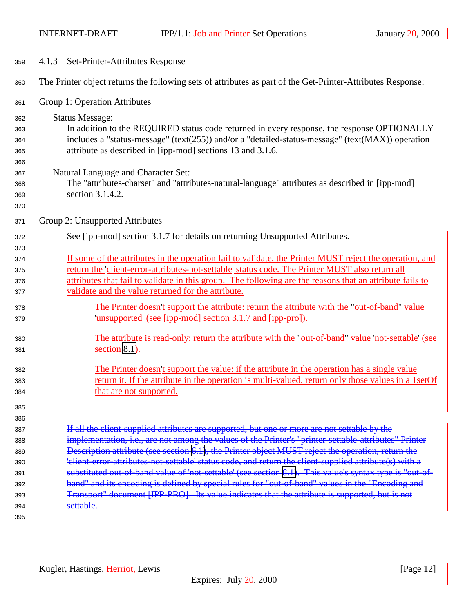<span id="page-11-0"></span>

| 359        | 4.1.3 Set-Printer-Attributes Response                                                                                                                                                                       |  |
|------------|-------------------------------------------------------------------------------------------------------------------------------------------------------------------------------------------------------------|--|
| 360        | The Printer object returns the following sets of attributes as part of the Get-Printer-Attributes Response:                                                                                                 |  |
| 361        | Group 1: Operation Attributes                                                                                                                                                                               |  |
| 362        | <b>Status Message:</b>                                                                                                                                                                                      |  |
| 363        | In addition to the REQUIRED status code returned in every response, the response OPTIONALLY                                                                                                                 |  |
| 364        | includes a "status-message" (text(255)) and/or a "detailed-status-message" (text(MAX)) operation                                                                                                            |  |
| 365        | attribute as described in [ipp-mod] sections 13 and 3.1.6.                                                                                                                                                  |  |
| 366        |                                                                                                                                                                                                             |  |
| 367        | Natural Language and Character Set:                                                                                                                                                                         |  |
| 368        | The "attributes-charset" and "attributes-natural-language" attributes as described in [ipp-mod]                                                                                                             |  |
| 369        | section 3.1.4.2.                                                                                                                                                                                            |  |
| 370        |                                                                                                                                                                                                             |  |
| 371        | Group 2: Unsupported Attributes                                                                                                                                                                             |  |
| 372        | See [ipp-mod] section 3.1.7 for details on returning Unsupported Attributes.                                                                                                                                |  |
| 373        |                                                                                                                                                                                                             |  |
| 374        | If some of the attributes in the operation fail to validate, the Printer MUST reject the operation, and                                                                                                     |  |
| 375        | return the 'client-error-attributes-not-settable' status code. The Printer MUST also return all                                                                                                             |  |
| 376        | attributes that fail to validate in this group. The following are the reasons that an attribute fails to                                                                                                    |  |
| 377        | validate and the value returned for the attribute.                                                                                                                                                          |  |
| 378        | The Printer doesn't support the attribute: return the attribute with the "out-of-band" value                                                                                                                |  |
| 379        | 'unsupported' (see [ipp-mod] section 3.1.7 and [ipp-pro]).                                                                                                                                                  |  |
| 380        | The attribute is read-only: return the attribute with the "out-of-band" value not-settable' (see                                                                                                            |  |
| 381        | section $8.1$ ).                                                                                                                                                                                            |  |
|            |                                                                                                                                                                                                             |  |
| 382        | The Printer doesn't support the value: if the attribute in the operation has a single value                                                                                                                 |  |
| 383        | return it. If the attribute in the operation is multi-valued, return only those values in a 1setOf                                                                                                          |  |
| 384        | that are not supported.                                                                                                                                                                                     |  |
| 385        |                                                                                                                                                                                                             |  |
| 386        |                                                                                                                                                                                                             |  |
| 387        | If all the client supplied attributes are supported, but one or more are not settable by the                                                                                                                |  |
| 388        | implementation, i.e., are not among the values of the Printer's "printer settable attributes" Printer                                                                                                       |  |
| 389        | Description attribute (see section 6.1), the Printer object MUST reject the operation, return the<br>'client-error-attributes-not-settable' status code, and return the client-supplied attribute(s) with a |  |
| 390<br>391 | substituted out of band value of 'not settable' (see section 8.1). This value's syntax type is "out of-                                                                                                     |  |
| 392        | band" and its encoding is defined by special rules for "out-of-band" values in the "Encoding and                                                                                                            |  |
| 393        | Transport" document [IPP-PRO]. Its value indicates that the attribute is supported, but is not                                                                                                              |  |
| 394        | settable.                                                                                                                                                                                                   |  |
| 395        |                                                                                                                                                                                                             |  |
|            |                                                                                                                                                                                                             |  |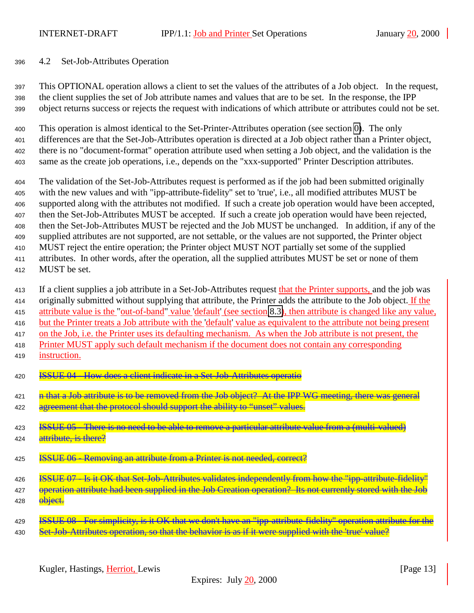# <span id="page-12-0"></span>4.2 Set-Job-Attributes Operation

 This OPTIONAL operation allows a client to set the values of the attributes of a Job object. In the request, the client supplies the set of Job attribute names and values that are to be set. In the response, the IPP object returns success or rejects the request with indications of which attribute or attributes could not be set.

 This operation is almost identical to the Set-Printer-Attributes operation (see section [0\)](#page-6-0). The only differences are that the Set-Job-Attributes operation is directed at a Job object rather than a Printer object, there is no "document-format" operation attribute used when setting a Job object, and the validation is the same as the create job operations, i.e., depends on the "xxx-supported" Printer Description attributes.

 The validation of the Set-Job-Attributes request is performed as if the job had been submitted originally with the new values and with "ipp-attribute-fidelity" set to 'true', i.e., all modified attributes MUST be supported along with the attributes not modified. If such a create job operation would have been accepted, then the Set-Job-Attributes MUST be accepted. If such a create job operation would have been rejected, then the Set-Job-Attributes MUST be rejected and the Job MUST be unchanged. In addition, if any of the supplied attributes are not supported, are not settable, or the values are not supported, the Printer object MUST reject the entire operation; the Printer object MUST NOT partially set some of the supplied attributes. In other words, after the operation, all the supplied attributes MUST be set or none of them MUST be set.

413 If a client supplies a job attribute in a Set-Job-Attributes request that the Printer supports, and the job was 414 originally submitted without supplying that attribute, the Printer adds the attribute to the Job object. If the attribute value is the "out-of-band" value 'default' (see section [8.3\)](#page-24-0), then attribute is changed like any value, but the Printer treats a Job attribute with the 'default' value as equivalent to the attribute not being present on the Job, i.e. the Printer uses its defaulting mechanism. As when the Job attribute is not present, the Printer MUST apply such default mechanism if the document does not contain any corresponding instruction.

- ISSUE 04 How does a client indicate in a Set-Job-Attributes operatio
- **h** that a Job attribute is to be removed from the Job object? At the IPP WG meeting, there was general 422 agreement that the protocol should support the ability to "unset" values.

ISSUE 05 - There is no need to be able to remove a particular attribute value from a (multi-valued)

- **attribute**, is there?
- **ISSUE 06 Removing an attribute from a Printer is not needed, correct?**
- ISSUE 07 Is it OK that Set-Job-Attributes validates independently from how the "ipp-attribute-fidelity"
- 427 operation attribute had been supplied in the Job Creation operation? Its not currently stored with the Job **object.**
- ISSUE 08 For simplicity, is it OK that we don't have an "ipp-attribute-fidelity" operation attribute for the 430 Set-Job-Attributes operation, so that the behavior is as if it were supplied with the 'true' value?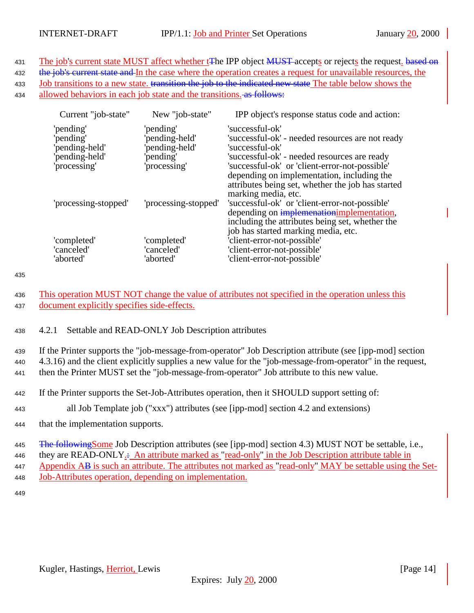<span id="page-13-0"></span>431 The job's current state MUST affect whether t<del>T</del>he IPP object MUST accepts or rejects the request. based on 432 the job's current state and In the case where the operation creates a request for unavailable resources, the 433 Job transitions to a new state. transition the job to the indicated new state The table below shows the 434 allowed behaviors in each job state and the transitions. as follows:

| Current "job-state"  | New "job-state"      | IPP object's response status code and action:                                                                                                                                                                                                                                                                    |
|----------------------|----------------------|------------------------------------------------------------------------------------------------------------------------------------------------------------------------------------------------------------------------------------------------------------------------------------------------------------------|
| 'pending'            | 'pending'            | 'successful-ok'                                                                                                                                                                                                                                                                                                  |
| 'pending'            | 'pending-held'       | 'successful-ok' - needed resources are not ready                                                                                                                                                                                                                                                                 |
| 'pending-held'       | 'pending-held'       | 'successful-ok'                                                                                                                                                                                                                                                                                                  |
| 'pending-held'       | 'pending'            | 'successful-ok' - needed resources are ready                                                                                                                                                                                                                                                                     |
| 'processing'         | 'processing'         | 'successful-ok' or 'client-error-not-possible'                                                                                                                                                                                                                                                                   |
| 'processing-stopped' | 'processing-stopped' | depending on implementation, including the<br>attributes being set, whether the job has started<br>marking media, etc.<br>'successful-ok' or 'client-error-not-possible'<br>depending on implemenation implementation,<br>including the attributes being set, whether the<br>job has started marking media, etc. |
| 'completed'          | 'completed'          | 'client-error-not-possible'                                                                                                                                                                                                                                                                                      |
| 'canceled'           | 'canceled'           | 'client-error-not-possible'                                                                                                                                                                                                                                                                                      |
| 'aborted'            | 'aborted'            | 'client-error-not-possible'                                                                                                                                                                                                                                                                                      |

435

<sup>436</sup> This operation MUST NOT change the value of attributes not specified in the operation unless this <sup>437</sup> document explicitly specifies side-effects.

<sup>438</sup> 4.2.1 Settable and READ-ONLY Job Description attributes

<sup>439</sup> If the Printer supports the "job-message-from-operator" Job Description attribute (see [ipp-mod] section <sup>440</sup> 4.3.16) and the client explicitly supplies a new value for the "job-message-from-operator" in the request, <sup>441</sup> then the Printer MUST set the "job-message-from-operator" Job attribute to this new value.

- <sup>442</sup> If the Printer supports the Set-Job-Attributes operation, then it SHOULD support setting of:
- <sup>443</sup> all Job Template job ("xxx") attributes (see [ipp-mod] section 4.2 and extensions)
- <sup>444</sup> that the implementation supports.

445 The following Some Job Description attributes (see [ipp-mod] section 4.3) MUST NOT be settable, i.e., <sup>446</sup> they are READ-ONLY.: An attribute marked as "read-only" in the Job Description attribute table in Appendix AB is such an attribute. The attributes not marked as "read-only" MAY be settable using the Set-<sup>448</sup> Job-Attributes operation, depending on implementation.

449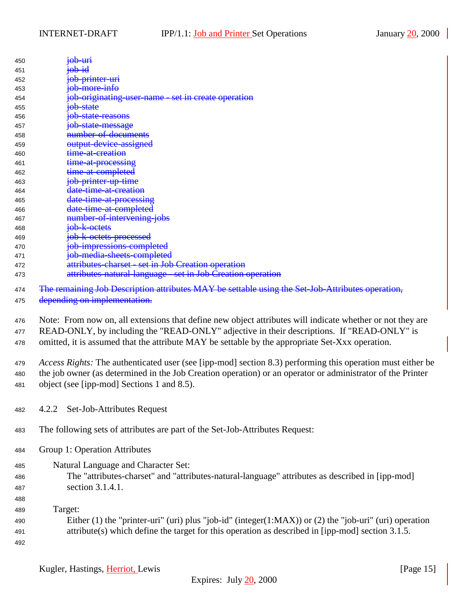<span id="page-14-0"></span>

| 450 | <del>ob-uri</del>                                           |
|-----|-------------------------------------------------------------|
| 451 |                                                             |
| 452 | <del>ob-printer-uri</del>                                   |
| 453 | <del>job-more-info</del>                                    |
| 454 | ob-originating-user-name - set in create operation          |
| 455 | <del>ob-state</del>                                         |
| 456 | state-reasons<br>$\Theta\Theta$                             |
| 457 | <del>job-state-message</del>                                |
| 458 | number-of-documents                                         |
| 459 | <del>output-device-assigned</del>                           |
| 460 | <del>time-at-creation</del>                                 |
| 461 | time-at-processing                                          |
| 462 | <del>time-at-completed</del>                                |
| 463 | <del>job-printer-up-time</del>                              |
| 464 | <del>date-time-at-creation</del>                            |
| 465 | date-time-at-processing                                     |
| 466 | date-time-at-completed                                      |
| 467 | <del>number-of-intervening-jobs</del>                       |
| 468 | <del>job-k-octets</del>                                     |
| 469 | <del>job-k-octets-processed</del>                           |
| 470 | job-impressions-completed                                   |
| 471 | job-media-sheets-completed                                  |
| 472 | attributes-charset - set in Job Creation operation          |
| 473 | attributes-natural-language - set in Job Creation operation |

474 The remaining Job Description attributes MAY be settable using the Set-Job-Attributes operation,

475 depending on implementation.

 Note: From now on, all extensions that define new object attributes will indicate whether or not they are READ-ONLY, by including the "READ-ONLY" adjective in their descriptions. If "READ-ONLY" is omitted, it is assumed that the attribute MAY be settable by the appropriate Set-Xxx operation.

 *Access Rights:* The authenticated user (see [ipp-mod] section 8.3) performing this operation must either be the job owner (as determined in the Job Creation operation) or an operator or administrator of the Printer object (see [ipp-mod] Sections 1 and 8.5).

- 4.2.2 Set-Job-Attributes Request
- The following sets of attributes are part of the Set-Job-Attributes Request:
- Group 1: Operation Attributes
- Natural Language and Character Set: The "attributes-charset" and "attributes-natural-language" attributes as described in [ipp-mod] section 3.1.4.1.
- Target:
- Either (1) the "printer-uri" (uri) plus "job-id" (integer(1:MAX)) or (2) the "job-uri" (uri) operation attribute(s) which define the target for this operation as described in [ipp-mod] section 3.1.5.
-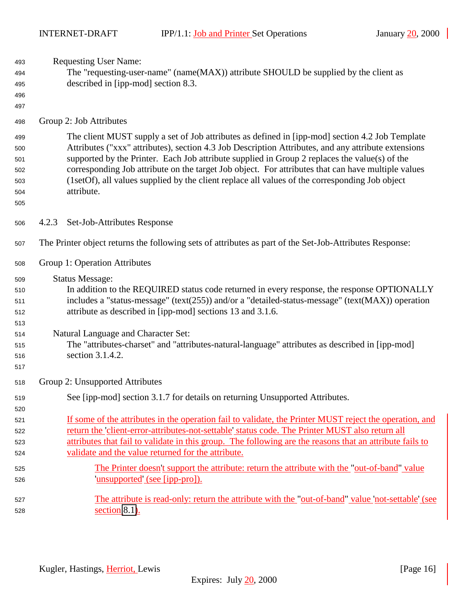<span id="page-15-0"></span> Requesting User Name: The "requesting-user-name" (name(MAX)) attribute SHOULD be supplied by the client as described in [ipp-mod] section 8.3. Group 2: Job Attributes The client MUST supply a set of Job attributes as defined in [ipp-mod] section 4.2 Job Template Attributes ("xxx" attributes), section 4.3 Job Description Attributes, and any attribute extensions supported by the Printer. Each Job attribute supplied in Group 2 replaces the value(s) of the corresponding Job attribute on the target Job object. For attributes that can have multiple values (1setOf), all values supplied by the client replace all values of the corresponding Job object attribute. 4.2.3 Set-Job-Attributes Response The Printer object returns the following sets of attributes as part of the Set-Job-Attributes Response: Group 1: Operation Attributes Status Message: In addition to the REQUIRED status code returned in every response, the response OPTIONALLY includes a "status-message" (text(255)) and/or a "detailed-status-message" (text(MAX)) operation attribute as described in [ipp-mod] sections 13 and 3.1.6. Natural Language and Character Set: The "attributes-charset" and "attributes-natural-language" attributes as described in [ipp-mod] section 3.1.4.2. Group 2: Unsupported Attributes See [ipp-mod] section 3.1.7 for details on returning Unsupported Attributes. If some of the attributes in the operation fail to validate, the Printer MUST reject the operation, and return the 'client-error-attributes-not-settable' status code. The Printer MUST also return all attributes that fail to validate in this group. The following are the reasons that an attribute fails to validate and the value returned for the attribute. The Printer doesn't support the attribute: return the attribute with the "out-of-band" value 'unsupported' (see [ipp-pro]). The attribute is read-only: return the attribute with the "out-of-band" value 'not-settable' (see section [8.1\)](#page-23-0).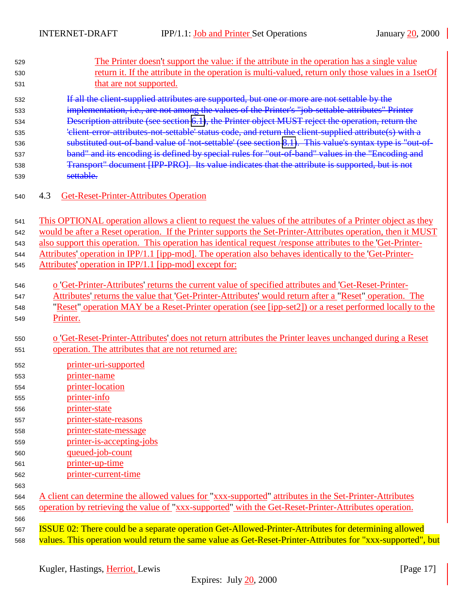<span id="page-16-0"></span>

| 529        | The Printer doesn't support the value: if the attribute in the operation has a single value                  |
|------------|--------------------------------------------------------------------------------------------------------------|
| 530        | return it. If the attribute in the operation is multi-valued, return only those values in a 1setOf           |
| 531        | that are not supported.                                                                                      |
| 532        | If all the client supplied attributes are supported, but one or more are not settable by the                 |
| 533        | implementation, i.e., are not among the values of the Printer's "job-settable-attributes" Printer            |
| 534        | Description attribute (see section 6.1), the Printer object MUST reject the operation, return the            |
| 535        | 'elient-error-attributes-not-settable' status code, and return the client-supplied attribute(s) with a       |
| 536        | substituted out of band value of 'not settable' (see section 8.1). This value's syntax type is "out of-      |
| 537        | band" and its encoding is defined by special rules for "out-of-band" values in the "Encoding and             |
| 538        | Transport" document [IPP-PRO]. Its value indicates that the attribute is supported, but is not               |
| 539        | settable.                                                                                                    |
| 540        | 4.3<br><b>Get-Reset-Printer-Attributes Operation</b>                                                         |
| 541        | This OPTIONAL operation allows a client to request the values of the attributes of a Printer object as they  |
| 542        | would be after a Reset operation. If the Printer supports the Set-Printer-Attributes operation, then it MUST |
| 543        | also support this operation. This operation has identical request /response attributes to the 'Get-Printer-  |
| 544        | Attributes' operation in IPP/1.1 [ipp-mod]. The operation also behaves identically to the 'Get-Printer-      |
| 545        | Attributes' operation in IPP/1.1 [ipp-mod] except for:                                                       |
|            |                                                                                                              |
| 546        | o 'Get-Printer-Attributes' returns the current value of specified attributes and 'Get-Reset-Printer-         |
| 547        | Attributes' returns the value that 'Get-Printer-Attributes' would return after a "Reset" operation. The      |
| 548        | "Reset" operation MAY be a Reset-Printer operation (see [ipp-set2]) or a reset performed locally to the      |
| 549        | Printer.                                                                                                     |
| 550        | o Get-Reset-Printer-Attributes' does not return attributes the Printer leaves unchanged during a Reset       |
| 551        | operation. The attributes that are not returned are:                                                         |
|            |                                                                                                              |
| 552        | printer-uri-supported                                                                                        |
| 553        | printer-name<br>printer-location                                                                             |
| 554        | printer-info                                                                                                 |
| 555        | printer-state                                                                                                |
| 556<br>557 | printer-state-reasons                                                                                        |
|            | printer-state-message                                                                                        |
| 558<br>559 | printer-is-accepting-jobs                                                                                    |
|            | queued-job-count                                                                                             |
| 560<br>561 | printer-up-time                                                                                              |
| 562        | printer-current-time                                                                                         |
| 563        |                                                                                                              |
| 564        | A client can determine the allowed values for "xxx-supported" attributes in the Set-Printer-Attributes       |
| 565        | operation by retrieving the value of "xxx-supported" with the Get-Reset-Printer-Attributes operation.        |
| 566        |                                                                                                              |
| 567        | ISSUE 02: There could be a separate operation Get-Allowed-Printer-Attributes for determining allowed         |
| 568        | values. This operation would return the same value as Get-Reset-Printer-Attributes for "xxx-supported", but  |
|            |                                                                                                              |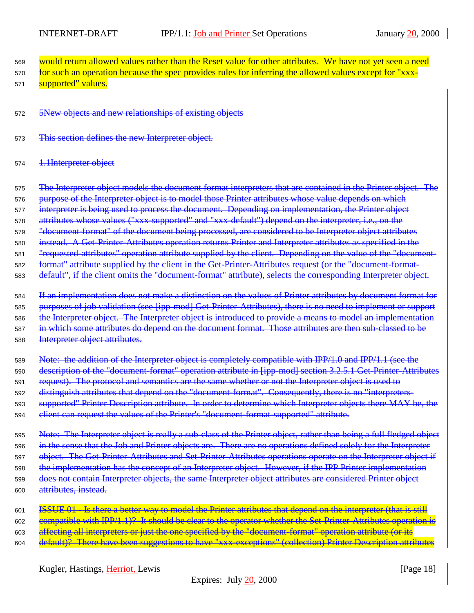<sup>569</sup> would return allowed values rather than the Reset value for other attributes. We have not yet seen a need

570 for such an operation because the spec provides rules for inferring the allowed values except for "xxx-571 supported" values.

<sup>572</sup> 5New objects and new relationships of existing objects

<sup>573</sup> This section defines the new Interpreter object.

574 <del>1.1Interpreter object</del>

575 The Interpreter object models the document format interpreters that are contained in the Printer object. The

576 purpose of the Interpreter object is to model those Printer attributes whose value depends on which

<sup>577</sup> interpreter is being used to process the document. Depending on implementation, the Printer object

<sup>578</sup> attributes whose values ("xxx-supported" and "xxx-default") depend on the interpreter, i.e., on the

579 "document-format" of the document being processed, are considered to be Interpreter object attributes

<sup>580</sup> instead. A Get-Printer-Attributes operation returns Printer and Interpreter attributes as specified in the

<sup>581</sup> "requested-attributes" operation attribute supplied by the client. Depending on the value of the "document-

<sup>582</sup> format" attribute supplied by the client in the Get-Printer-Attributes request (or the "document-format-

<sup>583</sup> default", if the client omits the "document-format" attribute), selects the corresponding Interpreter object.

<sup>584</sup> If an implementation does not make a distinction on the values of Printer attributes by document format for 585 purposes of job validation (see [ipp-mod] Get-Printer-Attributes), there is no need to implement or support 586 the Interpreter object. The Interpreter object is introduced to provide a means to model an implementation <sup>587</sup> in which some attributes do depend on the document format. Those attributes are then sub-classed to be <sup>588</sup> Interpreter object attributes.

<sup>589</sup> Note: the addition of the Interpreter object is completely compatible with IPP/1.0 and IPP/1.1 (see the 590 description of the "document-format" operation attribute in [ipp-mod] section 3.2.5.1 Get-Printer-Attributes <sup>591</sup> request). The protocol and semantics are the same whether or not the Interpreter object is used to <sup>592</sup> distinguish attributes that depend on the "document-format". Consequently, there is no "interpreters-593 supported" Printer Description attribute. In order to determine which Interpreter objects there MAY be, the 594 client can request the values of the Printer's "document-format-supported" attribute.

595 Note: The Interpreter object is really a sub-class of the Printer object, rather than being a full fledged object <sup>596</sup> in the sense that the Job and Printer objects are. There are no operations defined solely for the Interpreter 597 object. The Get-Printer-Attributes and Set-Printer-Attributes operations operate on the Interpreter object if 598 the implementation has the concept of an Interpreter object. However, if the IPP Printer implementation 599 does not contain Interpreter objects, the same Interpreter object attributes are considered Printer object <sup>600</sup> attributes, instead.

601 **ISSUE 01** Is there a better way to model the Printer attributes that depend on the interpreter (that is still 602 compatible with IPP/1.1)? It should be clear to the operator whether the Set-Printer-Attributes operation is 603 affecting all interpreters or just the one specified by the "document-format" operation attribute (or its <sup>604</sup> default)? There have been suggestions to have "xxx-exceptions" (collection) Printer Description attributes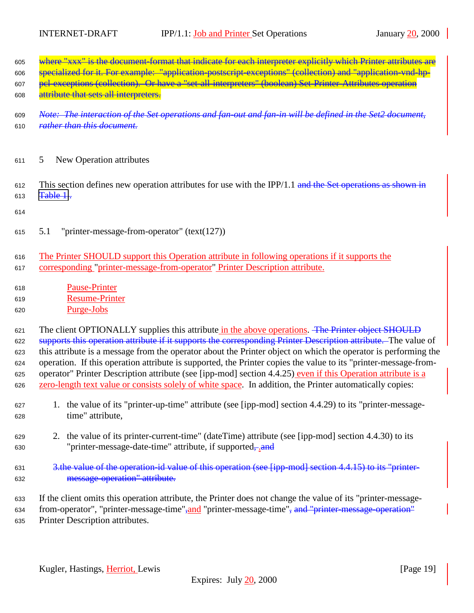<span id="page-18-0"></span>

| 605 | where "xxx" is the document format that indicate for each interpreter explicitly which Printer attributes are |
|-----|---------------------------------------------------------------------------------------------------------------|
| 606 | specialized for it. For example: "application-postscript-exceptions" (collection) and "application-vnd-hp-    |
| 607 | pel-exceptions (collection). Or have a "set-all-interpreters" (boolean) Set-Printer-Attributes operation      |
| 608 | attribute that sets all interpreters.                                                                         |

- <sup>609</sup> *Note: The interaction of the Set operations and fan-out and fan-in will be defined in the Set2 document,* <sup>610</sup> *rather than this document.*
- <sup>611</sup> 5 New Operation attributes
- 612 This section defines new operation attributes for use with the IPP/1.1 and the Set operations as shown in 613  $Table 1.$
- 614
- <sup>615</sup> 5.1 "printer-message-from-operator" (text(127))
- <sup>616</sup> The Printer SHOULD support this Operation attribute in following operations if it supports the <sup>617</sup> corresponding "printer-message-from-operator" Printer Description attribute.
- <sup>618</sup> Pause-Printer <sup>619</sup> Resume-Printer <sup>620</sup> Purge-Jobs

621 The client OPTIONALLY supplies this attribute in the above operations. The Printer object SHOULD 622 supports this operation attribute if it supports the corresponding Printer Description attribute. The value of this attribute is a message from the operator about the Printer object on which the operator is performing the operation. If this operation attribute is supported, the Printer copies the value to its "printer-message-from- operator" Printer Description attribute (see [ipp-mod] section 4.4.25) even if this Operation attribute is a zero-length text value or consists solely of white space. In addition, the Printer automatically copies:

- <sup>627</sup> 1. the value of its "printer-up-time" attribute (see [ipp-mod] section 4.4.29) to its "printer-message-<sup>628</sup> time" attribute,
- <sup>629</sup> 2. the value of its printer-current-time" (dateTime) attribute (see [ipp-mod] section 4.4.30) to its 630 "printer-message-date-time" attribute, if supported,-, and
- 631 3.the value of the operation-id value of this operation (see [ipp-mod] section 4.4.15) to its "printer-<sup>632</sup> message-operation" attribute.

<sup>633</sup> If the client omits this operation attribute, the Printer does not change the value of its "printer-message-634 from-operator", "printer-message-time", and "printer-message-time", and "printer-message-operation" <sup>635</sup> Printer Description attributes.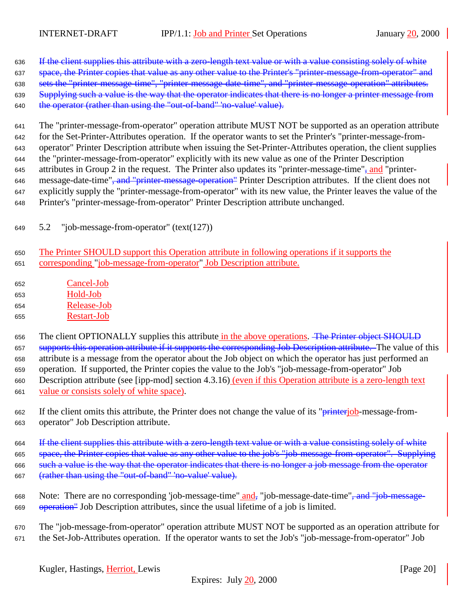<span id="page-19-0"></span>636 If the client supplies this attribute with a zero-length text value or with a value consisting solely of white 637 space, the Printer copies that value as any other value to the Printer's "printer-message-from-operator" and sets the "printer-message-time", "printer-message-date-time", and "printer-message-operation" attributes. 639 Supplying such a value is the way that the operator indicates that there is no longer a printer message from the operator (rather than using the "out-of-band" 'no-value' value).

 The "printer-message-from-operator" operation attribute MUST NOT be supported as an operation attribute for the Set-Printer-Attributes operation. If the operator wants to set the Printer's "printer-message-from- operator" Printer Description attribute when issuing the Set-Printer-Attributes operation, the client supplies the "printer-message-from-operator" explicitly with its new value as one of the Printer Description 645 attributes in Group 2 in the request. The Printer also updates its "printer-message-time", and "printer-646 message-date-time", and "printer-message-operation" Printer Description attributes. If the client does not explicitly supply the "printer-message-from-operator" with its new value, the Printer leaves the value of the Printer's "printer-message-from-operator" Printer Description attribute unchanged.

- 5.2 "job-message-from-operator" (text(127))
- The Printer SHOULD support this Operation attribute in following operations if it supports the corresponding "job-message-from-operator" Job Description attribute.
- Cancel-Job Hold-Job Release-Job Restart-Job

656 The client OPTIONALLY supplies this attribute in the above operations. The Printer object SHOULD 657 supports this operation attribute if it supports the corresponding Job Description attribute. The value of this attribute is a message from the operator about the Job object on which the operator has just performed an operation. If supported, the Printer copies the value to the Job's "job-message-from-operator" Job Description attribute (see [ipp-mod] section 4.3.16) (even if this Operation attribute is a zero-length text value or consists solely of white space).

662 If the client omits this attribute, the Printer does not change the value of its "*printerjob*-message-from-operator" Job Description attribute.

664 If the client supplies this attribute with a zero-length text value or with a value consisting solely of white 665 space, the Printer copies that value as any other value to the job's "job-message-from-operator". Supplying such a value is the way that the operator indicates that there is no longer a job message from the operator (rather than using the "out-of-band" 'no-value' value).

- Note: There are no corresponding 'job-message-time" and, "job-message-date-time", and "job-message-operation" Job Description attributes, since the usual lifetime of a job is limited.
- The "job-message-from-operator" operation attribute MUST NOT be supported as an operation attribute for the Set-Job-Attributes operation. If the operator wants to set the Job's "job-message-from-operator" Job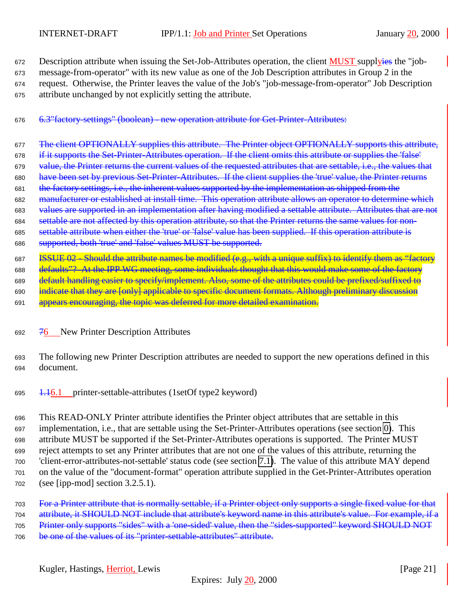<span id="page-20-0"></span>672 Description attribute when issuing the Set-Job-Attributes operation, the client MUST supplyies the "job- message-from-operator" with its new value as one of the Job Description attributes in Group 2 in the request. Otherwise, the Printer leaves the value of the Job's "job-message-from-operator" Job Description attribute unchanged by not explicitly setting the attribute.

# 6.3"factory-settings" (boolean) - new operation attribute for Get-Printer-Attributes:

- 677 The client OPTIONALLY supplies this attribute. The Printer object OPTIONALLY supports this attribute, if it supports the Set-Printer-Attributes operation. If the client omits this attribute or supplies the 'false' 679 value, the Printer returns the current values of the requested attributes that are settable, i.e., the values that have been set by previous Set-Printer-Attributes. If the client supplies the 'true' value, the Printer returns the factory settings, i.e., the inherent values supported by the implementation as shipped from the manufacturer or established at install time. This operation attribute allows an operator to determine which values are supported in an implementation after having modified a settable attribute. Attributes that are not settable are not affected by this operation attribute, so that the Printer returns the same values for non- settable attribute when either the 'true' or 'false' value has been supplied. If this operation attribute is supported, both 'true' and 'false' values MUST be supported.
- **ISSUE 02** Should the attribute names be modified (e.g., with a unique suffix) to identify them as "factory
- 688 defaults"? At the IPP WG meeting, some individuals thought that this would make some of the factory
- 689 default handling easier to specify/implement. Also, some of the attributes could be prefixed/suffixed to 690 indicate that they are [only] applicable to specific document formats. Although preliminary discussion
- 691 appears encouraging, the topic was deferred for more detailed examination.
- 692 76 New Printer Description Attributes
- The following new Printer Description attributes are needed to support the new operations defined in this document.
- 695  $1.16.1$  printer-settable-attributes (1setOf type2 keyword)

 This READ-ONLY Printer attribute identifies the Printer object attributes that are settable in this implementation, i.e., that are settable using the Set-Printer-Attributes operations (see section [0\)](#page-6-0). This attribute MUST be supported if the Set-Printer-Attributes operations is supported. The Printer MUST reject attempts to set any Printer attributes that are not one of the values of this attribute, returning the 'client-error-attributes-not-settable' status code (see section [7.1\)](#page-23-0). The value of this attribute MAY depend on the value of the "document-format" operation attribute supplied in the Get-Printer-Attributes operation (see [ipp-mod] section 3.2.5.1).

For a Printer attribute that is normally settable, if a Printer object only supports a single fixed value for that

attribute, it SHOULD NOT include that attribute's keyword name in this attribute's value. For example, if a

Printer only supports "sides" with a 'one-sided' value, then the "sides-supported" keyword SHOULD NOT

be one of the values of its "printer-settable-attributes" attribute.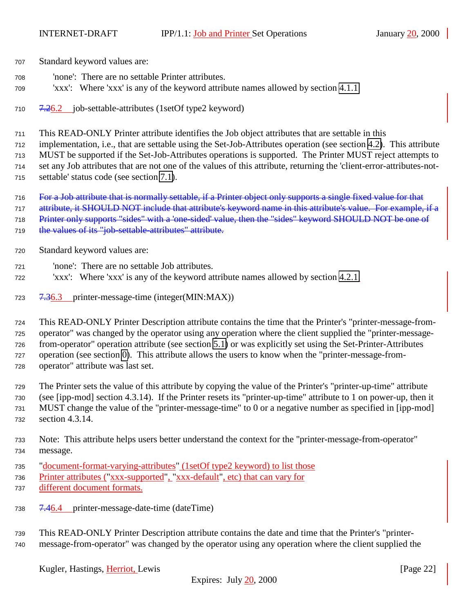- <span id="page-21-0"></span>Standard keyword values are:
- 'none': There are no settable Printer attributes.
- 'xxx': Where 'xxx' is any of the keyword attribute names allowed by section [4.1.1](#page-7-0)
- $710 \frac{7.26.2}{ }$  job-settable-attributes (1setOf type2 keyword)
- This READ-ONLY Printer attribute identifies the Job object attributes that are settable in this
- implementation, i.e., that are settable using the Set-Job-Attributes operation (see section [4.2\)](#page-12-0). This attribute
- MUST be supported if the Set-Job-Attributes operations is supported. The Printer MUST reject attempts to
- set any Job attributes that are not one of the values of this attribute, returning the 'client-error-attributes-not-
- settable' status code (see section [7.1\)](#page-23-0).
- For a Job attribute that is normally settable, if a Printer object only supports a single fixed value for that
- attribute, it SHOULD NOT include that attribute's keyword name in this attribute's value. For example, if a
- Printer only supports "sides" with a 'one-sided' value, then the "sides" keyword SHOULD NOT be one of
- the values of its "job-settable-attributes" attribute.
- Standard keyword values are:
- 'none': There are no settable Job attributes.
- 'xxx': Where 'xxx' is any of the keyword attribute names allowed by section [4.2.1.](#page-13-0)
- 7.36.3 printer-message-time (integer(MIN:MAX))
- This READ-ONLY Printer Description attribute contains the time that the Printer's "printer-message-from- operator" was changed by the operator using any operation where the client supplied the "printer-message- from-operator" operation attribute (see section [5.1\)](#page-18-0) or was explicitly set using the Set-Printer-Attributes operation (see section [0\)](#page-6-0). This attribute allows the users to know when the "printer-message-from-operator" attribute was last set.
- The Printer sets the value of this attribute by copying the value of the Printer's "printer-up-time" attribute (see [ipp-mod] section 4.3.14). If the Printer resets its "printer-up-time" attribute to 1 on power-up, then it MUST change the value of the "printer-message-time" to 0 or a negative number as specified in [ipp-mod] section 4.3.14.
- Note: This attribute helps users better understand the context for the "printer-message-from-operator" message.
- "document-format-varying-attributes" (1setOf type2 keyword) to list those
- Printer attributes ("xxx-supported", "xxx-default", etc) that can vary for
- different document formats.
- 7.46.4 printer-message-date-time (dateTime)
- This READ-ONLY Printer Description attribute contains the date and time that the Printer's "printer-message-from-operator" was changed by the operator using any operation where the client supplied the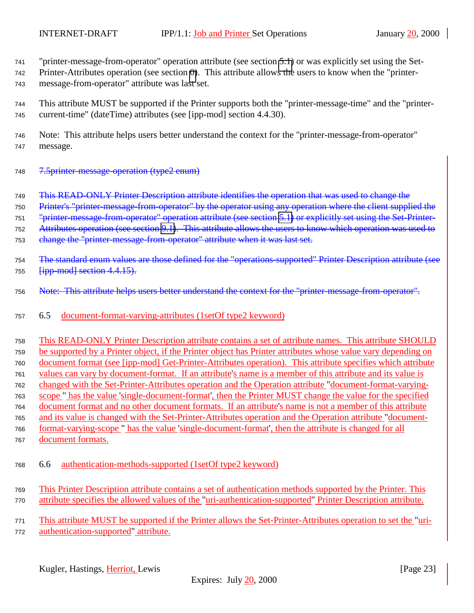<span id="page-22-0"></span>"printer-message-from-operator" operation attribute (see section [5.1\)](#page-18-0) or was explicitly set using the Set-

 Printer-Attributes operation (see section [0\)](#page-6-0). This attribute allows the users to know when the "printer-message-from-operator" attribute was last set.

 This attribute MUST be supported if the Printer supports both the "printer-message-time" and the "printer-current-time" (dateTime) attributes (see [ipp-mod] section 4.4.30).

 Note: This attribute helps users better understand the context for the "printer-message-from-operator" message.

7.5printer-message-operation (type2 enum)

This READ-ONLY Printer Description attribute identifies the operation that was used to change the

Printer's "printer-message-from-operator" by the operator using any operation where the client supplied the

"printer-message-from-operator" operation attribute (see section [5.1\)](#page-18-0) or explicitly set using the Set-Printer-

Attributes operation (see section [9.1\)](#page-6-0). This attribute allows the users to know which operation was used to

753 change the "printer-message-from-operator" attribute when it was last set.

754 The standard enum values are those defined for the "operations-supported" Printer Description attribute (see 755  $\frac{1}{1}$   $\frac{1}{1}$   $\frac{1}{1}$   $\frac{1}{1}$   $\frac{1}{1}$   $\frac{1}{1}$   $\frac{1}{1}$   $\frac{1}{1}$   $\frac{1}{1}$   $\frac{1}{1}$   $\frac{1}{1}$   $\frac{1}{1}$   $\frac{1}{1}$   $\frac{1}{1}$   $\frac{1}{1}$   $\frac{1}{1}$   $\frac{1}{1}$   $\frac{1}{1}$   $\frac{1}{1}$   $\frac{1}{1}$   $\frac{1}{1}$   $\frac{1}{1$ 

756 Note: This attribute helps users better understand the context for the "printer-message-from-operator".

6.5 document-format-varying-attributes (1setOf type2 keyword)

 This READ-ONLY Printer Description attribute contains a set of attribute names. This attribute SHOULD be supported by a Printer object, if the Printer object has Printer attributes whose value vary depending on document format (see [ipp-mod] Get-Printer-Attributes operation). This attribute specifies which attribute values can vary by document-format. If an attribute's name is a member of this attribute and its value is changed with the Set-Printer-Attributes operation and the Operation attribute "document-format-varying- scope " has the value 'single-document-format', then the Printer MUST change the value for the specified document format and no other document formats. If an attribute's name is not a member of this attribute and its value is changed with the Set-Printer-Attributes operation and the Operation attribute "document- format-varying-scope " has the value 'single-document-format', then the attribute is changed for all document formats.

- 6.6 authentication-methods-supported (1setOf type2 keyword)
- This Printer Description attribute contains a set of authentication methods supported by the Printer. This attribute specifies the allowed values of the "uri-authentication-supported" Printer Description attribute.

 This attribute MUST be supported if the Printer allows the Set-Printer-Attributes operation to set the "uri-authentication-supported" attribute.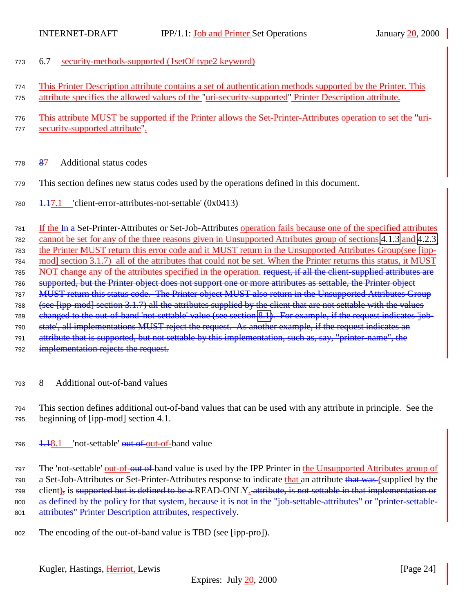- <span id="page-23-0"></span>6.7 security-methods-supported (1setOf type2 keyword)
- This Printer Description attribute contains a set of authentication methods supported by the Printer. This attribute specifies the allowed values of the "uri-security-supported" Printer Description attribute.
- This attribute MUST be supported if the Printer allows the Set-Printer-Attributes operation to set the "uri-security-supported attribute".
- 87 Additional status codes
- This section defines new status codes used by the operations defined in this document.
- $1.17.1$  'client-error-attributes-not-settable' (0x0413)

 If the In a Set-Printer-Attributes or Set-Job-Attributes operation fails because one of the specified attributes cannot be set for any of the three reasons given in Unsupported Attributes group of sections [4.1.3](#page-11-0) and [4.2.3,](#page-15-0) the Printer MUST return this error code and it MUST return in the Unsupported Attributes Group(see [ipp- mod] section 3.1.7) all of the attributes that could not be set. When the Printer returns this status, it MUST 785 NOT change any of the attributes specified in the operation. request, if all the client-supplied attributes are supported, but the Printer object does not support one or more attributes as settable, the Printer object MUST return this status code. The Printer object MUST also return in the Unsupported Attributes Group (see [ipp-mod] section 3.1.7) all the attributes supplied by the client that are not settable with the values changed to the out-of-band 'not-settable' value (see section 8.1). For example, if the request indicates 'job- state', all implementations MUST reject the request. As another example, if the request indicates an attribute that is supported, but not settable by this implementation, such as, say, "printer-name", the 792 implementation rejects the request.

8 Additional out-of-band values

 This section defines additional out-of-band values that can be used with any attribute in principle. See the beginning of [ipp-mod] section 4.1.

796 <del>1.1</del>8.1 'not-settable' out of out-of-band value

797 The 'not-settable' out-of-out of band value is used by the IPP Printer in the Unsupported Attributes group of 798 a Set-Job-Attributes or Set-Printer-Attributes response to indicate that an attribute that was (supplied by the 799 client), is supported but is defined to be a READ-ONLY. attribute, is not settable in that implementation or 800 as defined by the policy for that system, because it is not in the "job-settable-attributes" or "printer-settable-801 attributes" Printer Description attributes, respectively.

The encoding of the out-of-band value is TBD (see [ipp-pro]).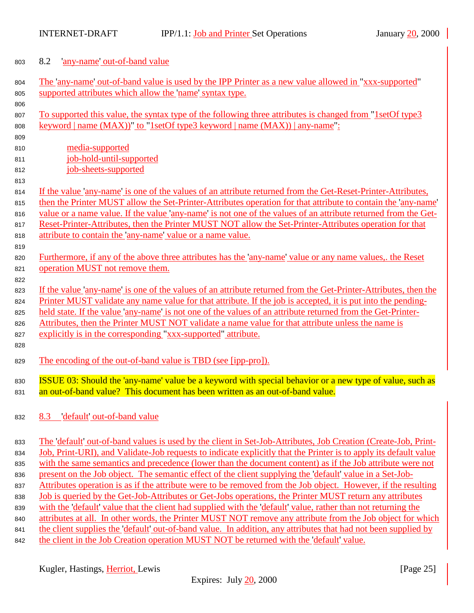<span id="page-24-0"></span>

|  | 803 |  |  | 8.2 any-name out-of-band value |
|--|-----|--|--|--------------------------------|
|--|-----|--|--|--------------------------------|

| 804 | The 'any-name' out-of-band value is used by the IPP Printer as a new value allowed in "xxx-supported"            |
|-----|------------------------------------------------------------------------------------------------------------------|
| 805 | supported attributes which allow the 'name' syntax type.                                                         |
| 806 |                                                                                                                  |
| 807 | <u>To supported this value, the syntax type of the following three attributes is changed from "1setOf type3</u>  |
| 808 | <u>keyword</u>   name (MAX))" to "1setOf type3 keyword   name (MAX))   any-name":                                |
| 809 |                                                                                                                  |
| 810 | media-supported                                                                                                  |
| 811 | job-hold-until-supported                                                                                         |
| 812 | job-sheets-supported                                                                                             |
| 813 |                                                                                                                  |
| 814 | If the value 'any-name' is one of the values of an attribute returned from the Get-Reset-Printer-Attributes,     |
| 815 | then the Printer MUST allow the Set-Printer-Attributes operation for that attribute to contain the 'any-name'    |
| 816 | value or a name value. If the value 'any-name' is not one of the values of an attribute returned from the Get-   |
| 817 | Reset-Printer-Attributes, then the Printer MUST NOT allow the Set-Printer-Attributes operation for that          |
| 818 | attribute to contain the 'any-name' value or a name value.                                                       |
| 819 |                                                                                                                  |
| 820 | Furthermore, if any of the above three attributes has the 'any-name' value or any name values, the Reset         |
| 821 | operation MUST not remove them.                                                                                  |
| 822 |                                                                                                                  |
| 823 | If the value 'any-name' is one of the values of an attribute returned from the Get-Printer-Attributes, then the  |
| 824 | Printer MUST validate any name value for that attribute. If the job is accepted, it is put into the pending-     |
| 825 | held state. If the value 'any-name' is not one of the values of an attribute returned from the Get-Printer-      |
| 826 | Attributes, then the Printer MUST NOT validate a name value for that attribute unless the name is                |
| 827 | explicitly is in the corresponding "xxx-supported" attribute.                                                    |
| 828 |                                                                                                                  |
| 829 | The encoding of the out-of-band value is TBD (see [ipp-pro]).                                                    |
|     | <b>ISSUE 03:</b> Should the 'any-name' value be a keyword with special behavior or a new type of value, such as  |
| 830 | an out-of-band value? This document has been written as an out-of-band value.                                    |
| 831 |                                                                                                                  |
| 832 | 8.3 default out-of-band value                                                                                    |
| 833 | The 'default' out-of-band values is used by the client in Set-Job-Attributes, Job Creation (Create-Job, Print-   |
| 834 | Job, Print-URI), and Validate-Job requests to indicate explicitly that the Printer is to apply its default value |
| 835 | with the same semantics and precedence (lower than the document content) as if the Job attribute were not        |
| 836 | present on the Job object. The semantic effect of the client supplying the 'default' value in a Set-Job-         |
| 837 | Attributes operation is as if the attribute were to be removed from the Job object. However, if the resulting    |
| 838 | Job is queried by the Get-Job-Attributes or Get-Jobs operations, the Printer MUST return any attributes          |
| 839 | with the 'default' value that the client had supplied with the 'default' value, rather than not returning the    |
| 840 | attributes at all. In other words, the Printer MUST NOT remove any attribute from the Job object for which       |
| 841 | the client supplies the 'default' out-of-band value. In addition, any attributes that had not been supplied by   |
| 842 | the client in the Job Creation operation MUST NOT be returned with the 'default' value.                          |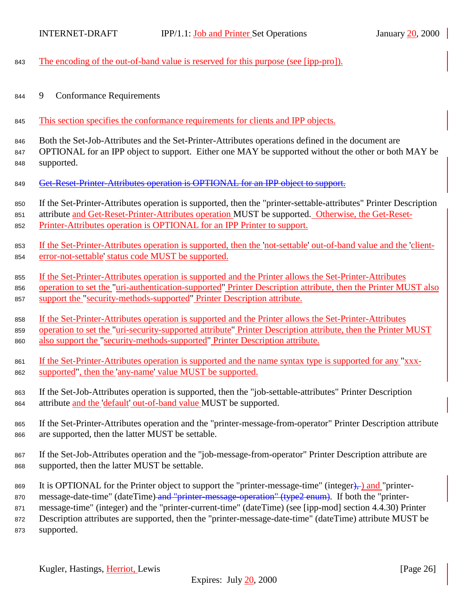<span id="page-25-0"></span>

| 843 | The encoding of the out-of-band value is reserved for this purpose (see [ipp-pro]).                              |
|-----|------------------------------------------------------------------------------------------------------------------|
| 844 | <b>Conformance Requirements</b><br>9                                                                             |
| 845 | This section specifies the conformance requirements for clients and IPP objects.                                 |
| 846 | Both the Set-Job-Attributes and the Set-Printer-Attributes operations defined in the document are                |
| 847 | OPTIONAL for an IPP object to support. Either one MAY be supported without the other or both MAY be              |
| 848 | supported.                                                                                                       |
| 849 | Get-Reset-Printer-Attributes operation is OPTIONAL for an IPP object to support.                                 |
| 850 | If the Set-Printer-Attributes operation is supported, then the "printer-settable-attributes" Printer Description |
| 851 | attribute and Get-Reset-Printer-Attributes operation MUST be supported. Otherwise, the Get-Reset-                |
| 852 | Printer-Attributes operation is OPTIONAL for an IPP Printer to support.                                          |
| 853 | If the Set-Printer-Attributes operation is supported, then the 'not-settable' out-of-band value and the 'client- |
| 854 | error-not-settable' status code MUST be supported.                                                               |
| 855 | If the Set-Printer-Attributes operation is supported and the Printer allows the Set-Printer-Attributes           |
| 856 | operation to set the "uri-authentication-supported" Printer Description attribute, then the Printer MUST also    |
| 857 | support the "security-methods-supported" Printer Description attribute.                                          |
| 858 | If the Set-Printer-Attributes operation is supported and the Printer allows the Set-Printer-Attributes           |
| 859 | operation to set the "uri-security-supported attribute" Printer Description attribute, then the Printer MUST     |
| 860 | also support the "security-methods-supported" Printer Description attribute.                                     |
| 861 | If the Set-Printer-Attributes operation is supported and the name syntax type is supported for any "xxx-         |
| 862 | supported", then the 'any-name' value MUST be supported.                                                         |
| 863 | If the Set-Job-Attributes operation is supported, then the "job-settable-attributes" Printer Description         |
| 864 | attribute and the 'default' out-of-band value MUST be supported.                                                 |
| 865 | If the Set-Printer-Attributes operation and the "printer-message-from-operator" Printer Description attribute    |
| 866 | are supported, then the latter MUST be settable.                                                                 |
| 867 | If the Set-Job-Attributes operation and the "job-message-from-operator" Printer Description attribute are        |
| 868 | supported, then the latter MUST be settable.                                                                     |
| 869 | It is OPTIONAL for the Printer object to support the "printer-message-time" (integer),-) and "printer-           |
| 870 | message-date-time" (dateTime) and "printer-message-operation" (type2 enum). If both the "printer-                |
| 871 | message-time" (integer) and the "printer-current-time" (dateTime) (see [ipp-mod] section 4.4.30) Printer         |

<sup>872</sup> Description attributes are supported, then the "printer-message-date-time" (dateTime) attribute MUST be <sup>873</sup> supported.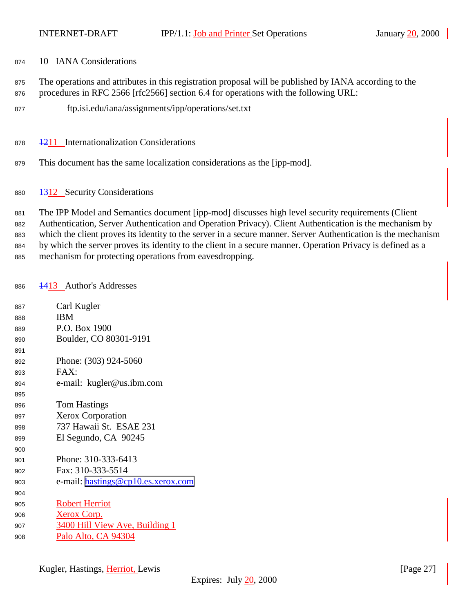- <span id="page-26-0"></span>10 IANA Considerations
- The operations and attributes in this registration proposal will be published by IANA according to the
- procedures in RFC 2566 [rfc2566] section 6.4 for operations with the following URL:
- ftp.isi.edu/iana/assignments/ipp/operations/set.txt
- 878 <del>12</del>11 Internationalization Considerations
- This document has the same localization considerations as the [ipp-mod].
- 1312 Security Considerations

 The IPP Model and Semantics document [ipp-mod] discusses high level security requirements (Client Authentication, Server Authentication and Operation Privacy). Client Authentication is the mechanism by which the client proves its identity to the server in a secure manner. Server Authentication is the mechanism by which the server proves its identity to the client in a secure manner. Operation Privacy is defined as a mechanism for protecting operations from eavesdropping.

1413 Author's Addresses

| 887 | Carl Kugler                        |
|-----|------------------------------------|
| 888 | <b>IBM</b>                         |
| 889 | P.O. Box 1900                      |
| 890 | Boulder, CO 80301-9191             |
| 891 |                                    |
| 892 | Phone: (303) 924-5060              |
| 893 | FAX:                               |
| 894 | e-mail: kugler@us.ibm.com          |
| 895 |                                    |
| 896 | <b>Tom Hastings</b>                |
| 897 | <b>Xerox Corporation</b>           |
| 898 | 737 Hawaii St. ESAE 231            |
| 899 | El Segundo, CA 90245               |
| 900 |                                    |
| 901 | Phone: 310-333-6413                |
| 902 | Fax: 310-333-5514                  |
| 903 | e-mail: hastings@cp10.es.xerox.com |
| 904 |                                    |
| 905 | <b>Robert Herriot</b>              |
| 906 | Xerox Corp.                        |
| 907 | 3400 Hill View Ave, Building 1     |
| 908 | Palo Alto, CA 94304                |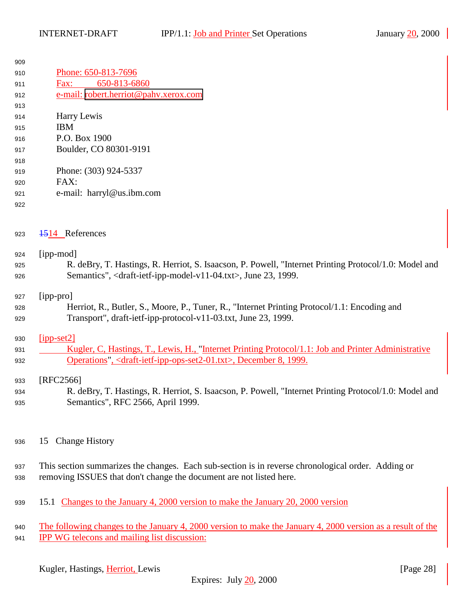<span id="page-27-0"></span>

| 909 |                                                                                                       |
|-----|-------------------------------------------------------------------------------------------------------|
| 910 | Phone: 650-813-7696                                                                                   |
| 911 | 650-813-6860<br>Fax:                                                                                  |
| 912 | e-mail: robert.herriot@pahv.xerox.com                                                                 |
| 913 |                                                                                                       |
| 914 | Harry Lewis                                                                                           |
| 915 | <b>IBM</b>                                                                                            |
| 916 | P.O. Box 1900                                                                                         |
| 917 | Boulder, CO 80301-9191                                                                                |
| 918 |                                                                                                       |
| 919 | Phone: (303) 924-5337                                                                                 |
| 920 | FAX:                                                                                                  |
| 921 | e-mail: harryl@us.ibm.com                                                                             |
| 922 |                                                                                                       |
|     |                                                                                                       |
| 923 | 4514 References                                                                                       |
|     |                                                                                                       |
| 924 | [ipp-mod]                                                                                             |
| 925 | R. deBry, T. Hastings, R. Herriot, S. Isaacson, P. Powell, "Internet Printing Protocol/1.0: Model and |
| 926 | Semantics", <draft-ietf-ipp-model-v11-04.txt>, June 23, 1999.</draft-ietf-ipp-model-v11-04.txt>       |
|     |                                                                                                       |
| 927 | [ipp-pro]                                                                                             |
| 928 | Herriot, R., Butler, S., Moore, P., Tuner, R., "Internet Printing Protocol/1.1: Encoding and          |
| 929 | Transport", draft-ietf-ipp-protocol-v11-03.txt, June 23, 1999.                                        |
| 930 | $[ipp-set2]$                                                                                          |
|     | Kugler, C, Hastings, T., Lewis, H., "Internet Printing Protocol/1.1: Job and Printer Administrative   |
| 931 | Operations", <draft-ietf-ipp-ops-set2-01.txt>, December 8, 1999.</draft-ietf-ipp-ops-set2-01.txt>     |
| 932 |                                                                                                       |
|     |                                                                                                       |

# 933 [RFC2566]

- R. deBry, T. Hastings, R. Herriot, S. Isaacson, P. Powell, "Internet Printing Protocol/1.0: Model and Semantics", RFC 2566, April 1999.
- 15 Change History
- This section summarizes the changes. Each sub-section is in reverse chronological order. Adding or removing ISSUES that don't change the document are not listed here.
- 15.1 Changes to the January 4, 2000 version to make the January 20, 2000 version
- The following changes to the January 4, 2000 version to make the January 4, 2000 version as a result of the **IPP WG telecons and mailing list discussion:**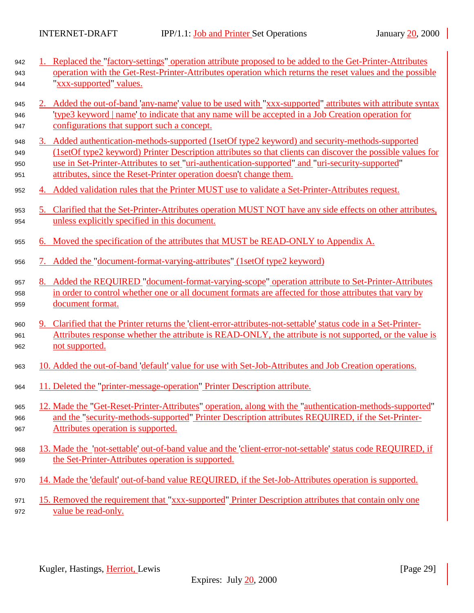| 942 | 1. Replaced the "factory-settings" operation attribute proposed to be added to the Get-Printer-Attributes                    |
|-----|------------------------------------------------------------------------------------------------------------------------------|
| 943 | operation with the Get-Rest-Printer-Attributes operation which returns the reset values and the possible                     |
| 944 | "xxx-supported" values.                                                                                                      |
| 945 | 2. Added the out-of-band 'any-name' value to be used with "xxx-supported" attributes with attribute syntax                   |
| 946 | <u>'type3 keyword   name' to indicate that any name will be accepted in a Job Creation operation for</u>                     |
| 947 | configurations that support such a concept.                                                                                  |
| 948 | 3. Added authentication-methods-supported (1setOf type2 keyword) and security-methods-supported                              |
| 949 | (1setOf type2 keyword) Printer Description attributes so that clients can discover the possible values for                   |
| 950 | use in Set-Printer-Attributes to set "uri-authentication-supported" and "uri-security-supported"                             |
| 951 | attributes, since the Reset-Printer operation doesn't change them.                                                           |
| 952 | 4. Added validation rules that the Printer MUST use to validate a Set-Printer-Attributes request.                            |
| 953 | 5. Clarified that the Set-Printer-Attributes operation MUST NOT have any side effects on other attributes,                   |
| 954 | unless explicitly specified in this document.                                                                                |
| 955 | 6. Moved the specification of the attributes that MUST be READ-ONLY to Appendix A.                                           |
| 956 | 7. Added the "document-format-varying-attributes" (1setOf type2 keyword)                                                     |
| 957 | 8. Added the REQUIRED "document-format-varying-scope" operation attribute to Set-Printer-Attributes                          |
| 958 | in order to control whether one or all document formats are affected for those attributes that vary by                       |
| 959 | document format.                                                                                                             |
| 960 | 9. Clarified that the Printer returns the client-error-attributes-not-settable status code in a Set-Printer-                 |
| 961 | Attributes response whether the attribute is READ-ONLY, the attribute is not supported, or the value is                      |
| 962 | not supported.                                                                                                               |
| 963 | 10. Added the out-of-band default value for use with Set-Job-Attributes and Job Creation operations.                         |
|     |                                                                                                                              |
| 964 | 11. Deleted the "printer-message-operation" Printer Description attribute.                                                   |
| 965 | 12. Made the "Get-Reset-Printer-Attributes" operation, along with the "authentication-methods-supported"                     |
| 966 | and the "security-methods-supported" Printer Description attributes REQUIRED, if the Set-Printer-                            |
| 967 | Attributes operation is supported.                                                                                           |
| 968 | 13. Made the 'not-settable' out-of-band value and the 'client-error-not-settable' status code REQUIRED, if                   |
| 969 | the Set-Printer-Attributes operation is supported.                                                                           |
| 970 | 14. Made the 'default' out-of-band value REQUIRED, if the Set-Job-Attributes operation is supported.                         |
|     |                                                                                                                              |
| 971 | 15. Removed the requirement that "xxx-supported" Printer Description attributes that contain only one<br>value be read-only. |
| 972 |                                                                                                                              |
|     |                                                                                                                              |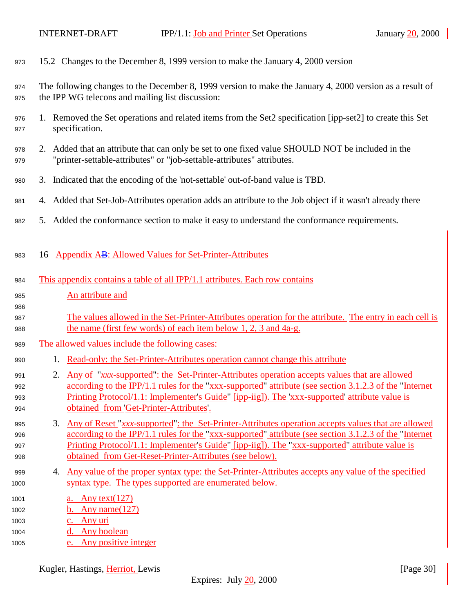<span id="page-29-0"></span>

| 973                                  | 15.2 Changes to the December 8, 1999 version to make the January 4, 2000 version                                                                                                                                                                                                                                                                                                        |
|--------------------------------------|-----------------------------------------------------------------------------------------------------------------------------------------------------------------------------------------------------------------------------------------------------------------------------------------------------------------------------------------------------------------------------------------|
| 974<br>975                           | The following changes to the December 8, 1999 version to make the January 4, 2000 version as a result of<br>the IPP WG telecons and mailing list discussion:                                                                                                                                                                                                                            |
| 976<br>977                           | 1. Removed the Set operations and related items from the Set2 specification [ipp-set2] to create this Set<br>specification.                                                                                                                                                                                                                                                             |
| 978<br>979                           | 2. Added that an attribute that can only be set to one fixed value SHOULD NOT be included in the<br>"printer-settable-attributes" or "job-settable-attributes" attributes.                                                                                                                                                                                                              |
| 980                                  | 3. Indicated that the encoding of the 'not-settable' out-of-band value is TBD.                                                                                                                                                                                                                                                                                                          |
| 981                                  | 4. Added that Set-Job-Attributes operation adds an attribute to the Job object if it wasn't already there                                                                                                                                                                                                                                                                               |
| 982                                  | 5. Added the conformance section to make it easy to understand the conformance requirements.                                                                                                                                                                                                                                                                                            |
| 983                                  | <b>Appendix AB: Allowed Values for Set-Printer-Attributes</b><br>16                                                                                                                                                                                                                                                                                                                     |
| 984                                  | This appendix contains a table of all IPP/1.1 attributes. Each row contains                                                                                                                                                                                                                                                                                                             |
| 985                                  | An attribute and                                                                                                                                                                                                                                                                                                                                                                        |
| 986                                  |                                                                                                                                                                                                                                                                                                                                                                                         |
| 987<br>988                           | The values allowed in the Set-Printer-Attributes operation for the attribute. The entry in each cell is<br>the name (first few words) of each item below 1, 2, 3 and 4a-g.                                                                                                                                                                                                              |
| 989                                  | The allowed values include the following cases:                                                                                                                                                                                                                                                                                                                                         |
| 990                                  | 1. Read-only: the Set-Printer-Attributes operation cannot change this attribute                                                                                                                                                                                                                                                                                                         |
| 991<br>992<br>993<br>994             | Any of "xxx-supported": the Set-Printer-Attributes operation accepts values that are allowed<br>2.<br>according to the IPP/1.1 rules for the "xxx-supported" attribute (see section 3.1.2.3 of the "Internet"<br>Printing Protocol/1.1: Implementer's Guide" [ipp-iig]). The 'xxx-supported' attribute value is<br>obtained from Get-Printer-Attributes'.                               |
| 995<br>996<br>997<br>998             | <u>Any of Reset "xxx-supported": the Set-Printer-Attributes operation accepts values that are allowed</u><br>3.<br>according to the IPP/1.1 rules for the "xxx-supported" attribute (see section 3.1.2.3 of the "Internet"<br>Printing Protocol/1.1: Implementer's Guide" [ipp-iig]). The "xxx-supported" attribute value is<br>obtained from Get-Reset-Printer-Attributes (see below). |
| 999<br>1000                          | Any value of the proper syntax type: the Set-Printer-Attributes accepts any value of the specified<br>4.<br>syntax type. The types supported are enumerated below.                                                                                                                                                                                                                      |
| 1001<br>1002<br>1003<br>1004<br>1005 | Any text( $127$ )<br>a.<br>b. Any name $(127)$<br>c. Any uri<br>d. Any boolean<br>e. Any positive integer                                                                                                                                                                                                                                                                               |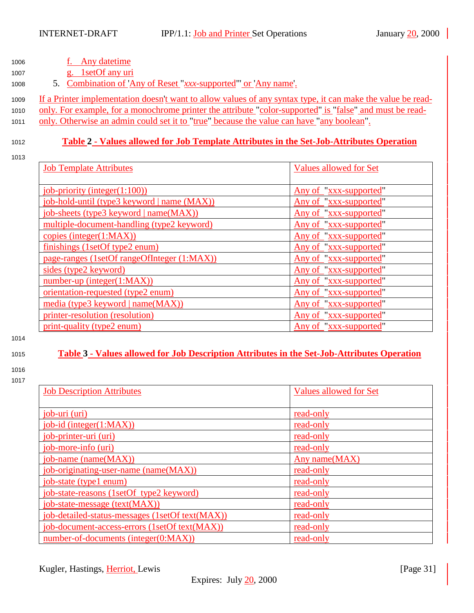<span id="page-30-0"></span>

| 1006 |  | Any datetime |
|------|--|--------------|
|      |  |              |

<sup>1007</sup> g. 1setOf any uri

<sup>1008</sup> 5. Combination of 'Any of Reset "*xxx*-supported"' or 'Any name'.

<sup>1009</sup> If a Printer implementation doesn't want to allow values of any syntax type, it can make the value be read-

1010 only. For example, for a monochrome printer the attribute "color-supported" is "false" and must be read-<sup>1011</sup> only. Otherwise an admin could set it to "true" because the value can have "any boolean".

# <sup>1012</sup> **Table 2 - Values allowed for Job Template Attributes in the Set-Job-Attributes Operation**

1013

| <b>Job Template Attributes</b>              | <b>Values allowed for Set</b> |
|---------------------------------------------|-------------------------------|
|                                             |                               |
| $job$ -priority (integer $(1:100)$ )        | Any of "xxx-supported"        |
| job-hold-until (type3 keyword   name (MAX)) | Any of "xxx-supported"        |
| job-sheets (type3 keyword   name(MAX))      | Any of "xxx-supported"        |
| multiple-document-handling (type2 keyword)  | Any of "xxx-supported"        |
| copies (integer(1:MAX))                     | Any of "xxx-supported"        |
| finishings (1setOf type2 enum)              | Any of "xxx-supported"        |
| page-ranges (1setOf rangeOfInteger (1:MAX)) | Any of "xxx-supported"        |
| sides (type2 keyword)                       | Any of "xxx-supported"        |
| $number-up (integer(1:MAX))$                | Any of "xxx-supported"        |
| orientation-requested (type2 enum)          | Any of "xxx-supported"        |
| media (type3 keyword   name(MAX))           | Any of "xxx-supported"        |
| printer-resolution (resolution)             | Any of "xxx-supported"        |
| print-quality (type2 enum)                  | Any of "xxx-supported"        |

#### 1014

# <sup>1015</sup> **Table 3 - Values allowed for Job Description Attributes in the Set-Job-Attributes Operation**

1016 1017

| <b>Job Description Attributes</b>               | <b>Values allowed for Set</b> |
|-------------------------------------------------|-------------------------------|
|                                                 |                               |
| job-uri (uri)                                   | read-only                     |
| $job-id$ (integer $(1:MAX)$ )                   | read-only                     |
| job-printer-uri (uri)                           | read-only                     |
| job-more-info (uri)                             | read-only                     |
| $job$ -name (name $(MAX)$ )                     | Any name(MAX)                 |
| job-originating-user-name (name(MAX))           | read-only                     |
| job-state (type1 enum)                          | read-only                     |
| job-state-reasons (1setOf type2 keyword)        | read-only                     |
| job-state-message (text(MAX))                   | read-only                     |
| job-detailed-status-messages (1setOf text(MAX)) | read-only                     |
| job-document-access-errors (1setOf text(MAX))   | read-only                     |
| number-of-documents (integer(0:MAX))            | read-only                     |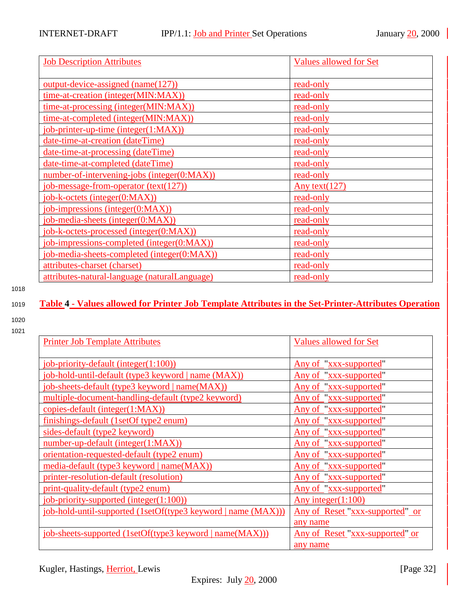<span id="page-31-0"></span>

| <b>Job Description Attributes</b>             | Values allowed for Set |
|-----------------------------------------------|------------------------|
| $output$ -device-assigned (name(127))         | read-only              |
| time-at-creation (integer(MIN:MAX))           | read-only              |
| time-at-processing (integer(MIN:MAX))         | read-only              |
| time-at-completed (integer(MIN:MAX))          | read-only              |
| job-printer-up-time (integer(1:MAX))          | read-only              |
| date-time-at-creation (dateTime)              | read-only              |
| date-time-at-processing (dateTime)            | read-only              |
| date-time-at-completed (dateTime)             | read-only              |
| number-of-intervening-jobs (integer(0:MAX))   | read-only              |
| job-message-from-operator (text(127))         | Any text $(127)$       |
| job-k-octets (integer(0:MAX))                 | read-only              |
| job-impressions (integer(0:MAX))              | read-only              |
| job-media-sheets (integer(0:MAX))             | read-only              |
| job-k-octets-processed (integer(0:MAX))       | read-only              |
| job-impressions-completed (integer(0:MAX))    | read-only              |
| job-media-sheets-completed (integer(0:MAX))   | read-only              |
| attributes-charset (charset)                  | read-only              |
| attributes-natural-language (naturalLanguage) | read-only              |

- 
- 1020 1021

| <b>Printer Job Template Attributes</b>              | Valı       |
|-----------------------------------------------------|------------|
| job-priority-default (integer(1:100))               | <u>Any</u> |
| job-hold-until-default (type3 keyword   name (MAX)) | Any        |
| job-sheets-default (type3 keyword   name(MAX))      | <u>Any</u> |
| multiple-document-handling-default (type2 keyword)  | <u>Any</u> |
| copies-default (integer(1:MAX))                     | Any        |
| finishings-default (1setOf type2 enum)              | Any        |
| sides-default (type2 keyword)                       | Any        |
| number-up-default (integer(1:MAX))                  | Any        |
| orientation-requested-default (type2 enum)          | Any        |
| media-default (type3 keyword   name(MAX))           | Any        |
| printer-resolution-default (resolution)             | Any        |
| nrint-quality-default (type) enum)                  | Any        |

# <sup>1019</sup> **Table 4 - Values allowed for Printer Job Template Attributes in the Set-Printer-Attributes Operation**

| <b>Printer Job Template Attributes</b>                        | <b>Values allowed for Set</b>          |
|---------------------------------------------------------------|----------------------------------------|
|                                                               |                                        |
| job-priority-default (integer(1:100))                         | Any of "xxx-supported"                 |
| job-hold-until-default (type3 keyword   name (MAX))           | Any of "xxx-supported"                 |
| job-sheets-default (type3 keyword   name(MAX))                | Any of "xxx-supported"                 |
| multiple-document-handling-default (type2 keyword)            | Any of "xxx-supported"                 |
| copies-default (integer(1:MAX))                               | Any of "xxx-supported"                 |
| finishings-default (1setOf type2 enum)                        | Any of "xxx-supported"                 |
| sides-default (type2 keyword)                                 | Any of "xxx-supported"                 |
| number-up-default (integer(1:MAX))                            | Any of "xxx-supported"                 |
| orientation-requested-default (type2 enum)                    | Any of "xxx-supported"                 |
| media-default (type3 keyword   name(MAX))                     | Any of "xxx-supported"                 |
| printer-resolution-default (resolution)                       | Any of "xxx-supported"                 |
| print-quality-default (type2 enum)                            | Any of "xxx-supported"                 |
| job-priority-supported (integer(1:100))                       | Any integer $(1:100)$                  |
| job-hold-until-supported (1setOf(type3 keyword   name (MAX))) | <u>Any of Reset "xxx-supported" or</u> |
|                                                               | any name                               |
| job-sheets-supported (1setOf(type3 keyword   name(MAX)))      | Any of Reset "xxx-supported" or        |
|                                                               | any name                               |
|                                                               |                                        |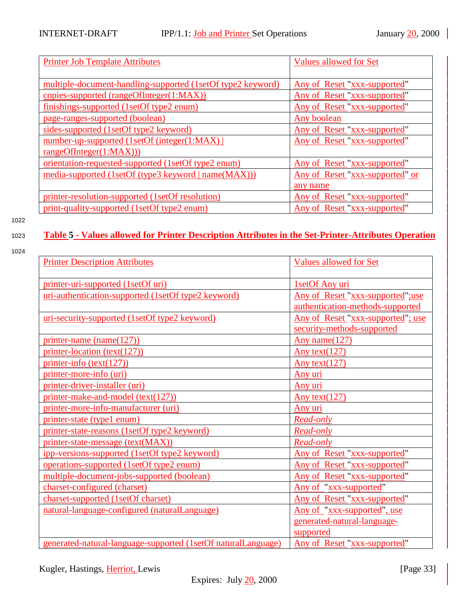<span id="page-32-0"></span>

| <b>Printer Job Template Attributes</b>                      | <b>Values allowed for Set</b>   |
|-------------------------------------------------------------|---------------------------------|
|                                                             |                                 |
| multiple-document-handling-supported (1setOf type2 keyword) | Any of Reset "xxx-supported"    |
| copies-supported (rangeOfInteger(1:MAX))                    | Any of Reset "xxx-supported"    |
| finishings-supported (1setOf type2 enum)                    | Any of Reset "xxx-supported"    |
| page-ranges-supported (boolean)                             | Any boolean                     |
| sides-supported (1setOf type2 keyword)                      | Any of Reset "xxx-supported"    |
| number-up-supported (1setOf (integer(1:MAX))                | Any of Reset "xxx-supported"    |
| rangeOfInteger(1:MAX))                                      |                                 |
| <u>orientation-requested-supported (1setOf type2 enum)</u>  | Any of Reset "xxx-supported"    |
| media-supported (1setOf (type3 keyword   name(MAX)))        | Any of Reset "xxx-supported" or |
|                                                             | any name                        |
| printer-resolution-supported (1setOf resolution)            | Any of Reset "xxx-supported"    |
| print-quality-supported (1setOf type2 enum)                 | Any of Reset "xxx-supported"    |

# <sup>1023</sup> **Table 5 - Values allowed for Printer Description Attributes in the Set-Printer-Attributes Operation**

| ×<br>۹ |
|--------|
|        |

| <b>Printer Description Attributes</b>                         | <b>Values allowed for Set</b>      |
|---------------------------------------------------------------|------------------------------------|
|                                                               |                                    |
| printer-uri-supported (1setOf uri)                            | 1setOf Any uri                     |
| uri-authentication-supported (1setOf type2 keyword)           | Any of Reset "xxx-supported";use   |
|                                                               | authentication-methods-supported   |
| uri-security-supported (1setOf type2 keyword)                 | Any of Reset "xxx-supported"; use  |
|                                                               | security-methods-supported         |
| printer-name (name(127))                                      | Any name(127)                      |
| $printer-location (text(127))$                                | Any text $(127)$                   |
| $printer\text{-}info (text(127))$                             | Any text $(127)$                   |
| printer-more-info (uri)                                       | Any uri                            |
| printer-driver-installer (uri)                                | Any uri                            |
| printer-make-and-model (text(127))                            | Any text $(127)$                   |
| printer-more-info-manufacturer (uri)                          | Any uri                            |
| printer-state (type1 enum)                                    | Read-only                          |
| printer-state-reasons (1setOf type2 keyword)                  | Read-only                          |
| printer-state-message (text(MAX))                             | Read-only                          |
| ipp-versions-supported (1setOf type2 keyword)                 | Any of Reset "xxx-supported"       |
| operations-supported (1setOf type2 enum)                      | Any of Reset "xxx-supported"       |
| multiple-document-jobs-supported (boolean)                    | Any of Reset "xxx-supported"       |
| charset-configured (charset)                                  | Any of "xxx-supported"             |
| charset-supported (1setOf charset)                            | Any of Reset "xxx-supported"       |
| natural-language-configured (naturalLanguage)                 | <u>Any of "xxx-supported", use</u> |
|                                                               | generated-natural-language-        |
|                                                               | supported                          |
| generated-natural-language-supported (1setOf naturalLanguage) | Any of Reset "xxx-supported"       |